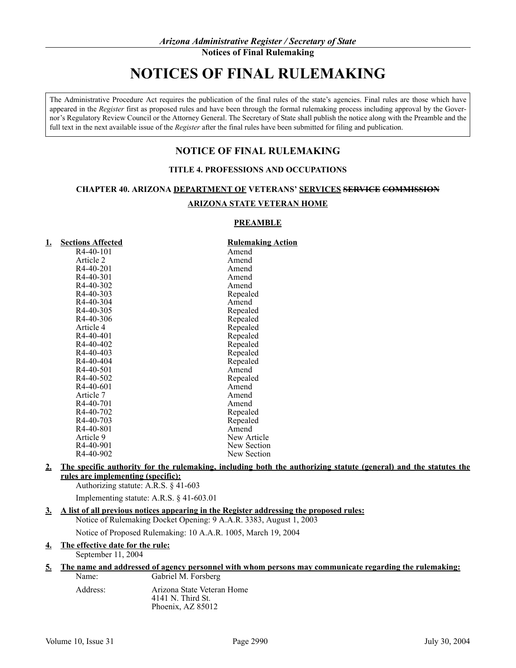# **NOTICES OF FINAL RULEMAKING**

The Administrative Procedure Act requires the publication of the final rules of the state's agencies. Final rules are those which have appeared in the *Register* first as proposed rules and have been through the formal rulemaking process including approval by the Governor's Regulatory Review Council or the Attorney General. The Secretary of State shall publish the notice along with the Preamble and the full text in the next available issue of the *Register* after the final rules have been submitted for filing and publication.

# **NOTICE OF FINAL RULEMAKING**

## **TITLE 4. PROFESSIONS AND OCCUPATIONS**

## **CHAPTER 40. ARIZONA DEPARTMENT OF VETERANS' SERVICES SERVICE COMMISSION**

## **ARIZONA STATE VETERAN HOME**

## **PREAMBLE**

| <u>1.</u> | <b>Sections Affected</b> | <b>Rulemaking Action</b> |
|-----------|--------------------------|--------------------------|
|           | R <sub>4</sub> -40-101   | Amend                    |
|           | Article 2                | Amend                    |
|           | R <sub>4</sub> -40-201   | Amend                    |
|           | R <sub>4</sub> -40-301   | Amend                    |
|           | R <sub>4</sub> -40-302   | Amend                    |
|           | R <sub>4</sub> -40-303   | Repealed                 |
|           | R4-40-304                | Amend                    |
|           | R4-40-305                | Repealed                 |
|           | R4-40-306                | Repealed                 |
|           | Article 4                | Repealed                 |
|           | R4-40-401                | Repealed                 |
|           | R4-40-402                | Repealed                 |
|           | R <sub>4</sub> -40-403   | Repealed                 |
|           | R <sub>4</sub> -40-404   | Repealed                 |
|           | R <sub>4</sub> -40-501   | Amend                    |
|           | R4-40-502                | Repealed                 |
|           | R <sub>4</sub> -40-601   | Amend                    |
|           | Article 7                | Amend                    |
|           | R <sub>4</sub> -40-701   | Amend                    |
|           | R4-40-702                | Repealed                 |
|           | R <sub>4</sub> -40-703   | Repealed                 |
|           | R <sub>4</sub> -40-801   | Amend                    |
|           | Article 9                | New Article              |
|           | R4-40-901                | New Section              |
|           | R4-40-902                | New Section              |

## **2. The specific authority for the rulemaking, including both the authorizing statute (general) and the statutes the rules are implementing (specific):**

Authorizing statute: A.R.S. § 41-603

Implementing statute: A.R.S. § 41-603.01

# **3. A list of all previous notices appearing in the Register addressing the proposed rules:**

Notice of Rulemaking Docket Opening: 9 A.A.R. 3383, August 1, 2003

Notice of Proposed Rulemaking: 10 A.A.R. 1005, March 19, 2004

#### **4. The effective date for the rule:** September 11, 2004

#### **5. The name and addressed of agency personnel with whom persons may communicate regarding the rulemaking:**

| Name:    | Gabriel M. Forsberg                                                    |
|----------|------------------------------------------------------------------------|
| Address: | Arizona State Veteran Home<br>$4141$ N. Third St.<br>Phoenix, AZ 85012 |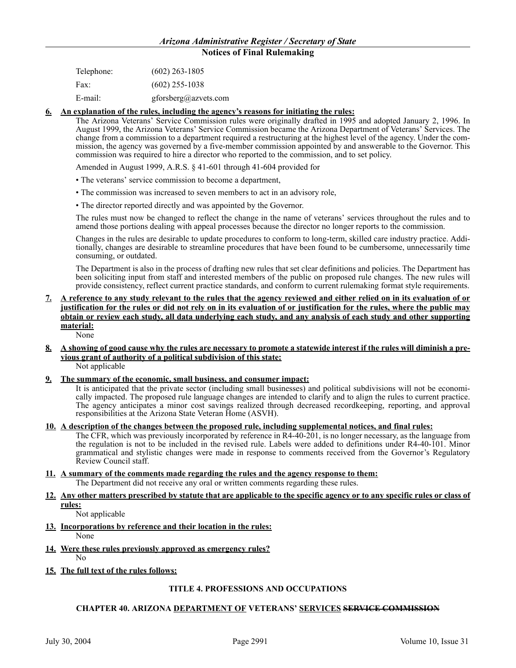| Telephone: | $(602)$ 263-1805     |
|------------|----------------------|
| Fax:       | $(602)$ 255-1038     |
| E-mail:    | gforsberg@azvets.com |

#### **6. An explanation of the rules, including the agency's reasons for initiating the rules:**

The Arizona Veterans' Service Commission rules were originally drafted in 1995 and adopted January 2, 1996. In August 1999, the Arizona Veterans' Service Commission became the Arizona Department of Veterans' Services. The change from a commission to a department required a restructuring at the highest level of the agency. Under the commission, the agency was governed by a five-member commission appointed by and answerable to the Governor. This commission was required to hire a director who reported to the commission, and to set policy.

Amended in August 1999, A.R.S. § 41-601 through 41-604 provided for

- The veterans' service commission to become a department,
- The commission was increased to seven members to act in an advisory role,
- The director reported directly and was appointed by the Governor.

The rules must now be changed to reflect the change in the name of veterans' services throughout the rules and to amend those portions dealing with appeal processes because the director no longer reports to the commission.

Changes in the rules are desirable to update procedures to conform to long-term, skilled care industry practice. Additionally, changes are desirable to streamline procedures that have been found to be cumbersome, unnecessarily time consuming, or outdated.

The Department is also in the process of drafting new rules that set clear definitions and policies. The Department has been soliciting input from staff and interested members of the public on proposed rule changes. The new rules will provide consistency, reflect current practice standards, and conform to current rulemaking format style requirements.

#### **7. A reference to any study relevant to the rules that the agency reviewed and either relied on in its evaluation of or justification for the rules or did not rely on in its evaluation of or justification for the rules, where the public may obtain or review each study, all data underlying each study, and any analysis of each study and other supporting material:** None

#### **8. A showing of good cause why the rules are necessary to promote a statewide interest if the rules will diminish a previous grant of authority of a political subdivision of this state:** Not applicable

**9. The summary of the economic, small business, and consumer impact:**

It is anticipated that the private sector (including small businesses) and political subdivisions will not be economically impacted. The proposed rule language changes are intended to clarify and to align the rules to current practice. The agency anticipates a minor cost savings realized through decreased recordkeeping, reporting, and approval responsibilities at the Arizona State Veteran Home (ASVH).

#### **10. A description of the changes between the proposed rule, including supplemental notices, and final rules:**

The CFR, which was previously incorporated by reference in R4-40-201, is no longer necessary, as the language from the regulation is not to be included in the revised rule. Labels were added to definitions under R4-40-101. Minor grammatical and stylistic changes were made in response to comments received from the Governor's Regulatory Review Council staff.

**11. A summary of the comments made regarding the rules and the agency response to them:** The Department did not receive any oral or written comments regarding these rules.

#### **12. Any other matters prescribed by statute that are applicable to the specific agency or to any specific rules or class of rules:**

Not applicable

- **13. Incorporations by reference and their location in the rules:**
- None **14. Were these rules previously approved as emergency rules?**
	- No
- **15. The full text of the rules follows:**

## **TITLE 4. PROFESSIONS AND OCCUPATIONS**

## **CHAPTER 40. ARIZONA DEPARTMENT OF VETERANS' SERVICES SERVICE COMMISSION**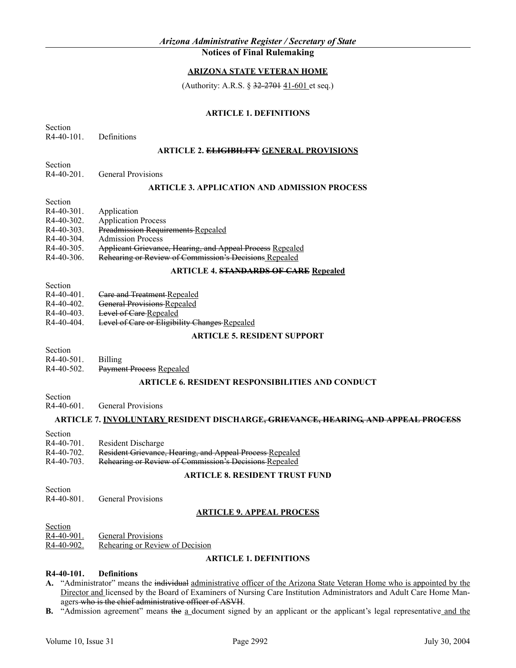# **ARIZONA STATE VETERAN HOME**

(Authority: A.R.S.  $\S 32-2701 41-601$  et seq.)

## **ARTICLE 1. DEFINITIONS**

Section R4-40-101. Definitions

## **ARTICLE 2. ELIGIBILITY GENERAL PROVISIONS**

R4-40-201. General Provisions

#### **ARTICLE 3. APPLICATION AND ADMISSION PROCESS**

Section

Section

| $R4-40-301$ . | Application                                               |
|---------------|-----------------------------------------------------------|
| $R4-40-302$ . | <b>Application Process</b>                                |
| R4-40-303     | <b>Preadmission Requirements Repealed</b>                 |
| R4-40-304     | <b>Admission Process</b>                                  |
| $R4-40-305$ . | Applicant Grievance, Hearing, and Appeal Process Repealed |
| $R4-40-306$ . | Rehearing or Review of Commission's Decisions Repealed    |

#### **ARTICLE 4. STANDARDS OF CARE Repealed**

Section

- R4-40-401. <del>Care and Treatment Repealed</del>
- R4-40-402. General Provisions Repealed
- R4-40-403. Level of Care Repealed
- R4-40-404. Level of Care or Eligibility Changes Repealed

#### **ARTICLE 5. RESIDENT SUPPORT**

Section

R4-40-502. Payment Process Repealed

## **ARTICLE 6. RESIDENT RESPONSIBILITIES AND CONDUCT**

Section

R4-40-601. General Provisions

#### **ARTICLE 7. INVOLUNTARY RESIDENT DISCHARGE, GRIEVANCE, HEARING, AND APPEAL PROCESS**

Section

- R4-40-701. Resident Discharge
- R4-40-702. Resident Grievance, Hearing, and Appeal Process Repealed
- R4-40-703. Rehearing or Review of Commission's Decisions Repealed

## **ARTICLE 8. RESIDENT TRUST FUND**

- Section
- R4-40-801. General Provisions

## **ARTICLE 9. APPEAL PROCESS**

**Section** 

R4-40-901. General Provisions

R4-40-902. Rehearing or Review of Decision

## **ARTICLE 1. DEFINITIONS**

#### **R4-40-101. Definitions**

- **A.** "Administrator" means the individual administrative officer of the Arizona State Veteran Home who is appointed by the Director and licensed by the Board of Examiners of Nursing Care Institution Administrators and Adult Care Home Managers who is the chief administrative officer of ASVH.
- **B.** "Admission agreement" means the a document signed by an applicant or the applicant's legal representative and the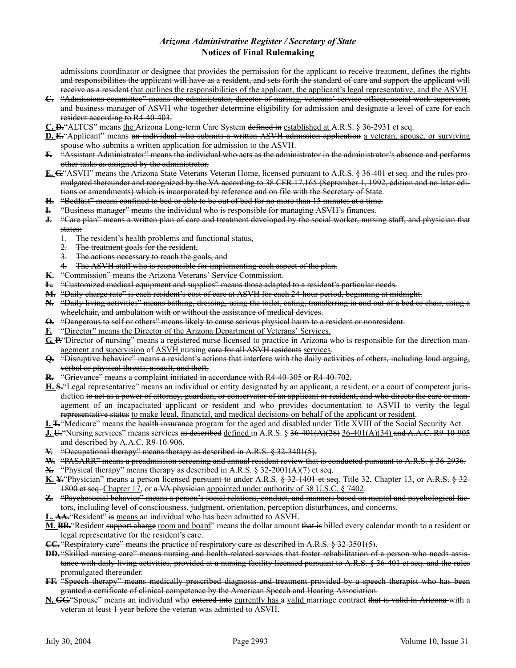admissions coordinator or designee that provides the permission for the applicant to receive treatment, defines the rights and responsibilities the applicant will have as a resident, and sets forth the standard of care and support the applicant will receive as a resident that outlines the responsibilities of the applicant, the applicant's legal representative, and the ASVH.

- **C.** "Admissions committee" means the administrator, director of nursing, veterans' service officer, social work supervisor, and business manager of ASVH who together determine eligibility for admission and designate a level of care for each resident according to R4-40-403.
- **C. D.**"ALTCS" means the Arizona Long-term Care System defined in established at A.R.S. § 36-2931 et seq.
- **D. E.**"Applicant" means an individual who submits a written ASVH admission application a veteran, spouse, or surviving spouse who submits a written application for admission to the ASVH.
- **F.** "Assistant Administrator" means the individual who acts as the administrator in the administrator's absence and performs other tasks as assigned by the administrator.
- **E. G.**"ASVH" means the Arizona State Veterans Veteran Home, licensed pursuant to A.R.S. § 36-401 et seq. and the rules promulgated thereunder and recognized by the VA according to 38 CFR 17.165 (September 1, 1992, edition and no later editions or amendments) which is incorporated by reference and on file with the Secretary of State.
- **H.** "Bedfast" means confined to bed or able to be out of bed for no more than 15 minutes at a time.
- **I.** "Business manager" means the individual who is responsible for managing ASVH's finances.
- **J.** "Care plan" means a written plan of care and treatment developed by the social worker, nursing staff, and physician that states:
	- 1. The resident's health problems and functional status,
	- 2. The treatment goals for the resident,
	- 3. The actions necessary to reach the goals, and
	- 4. The ASVH staff who is responsible for implementing each aspect of the plan.
- **K.** "Commission" means the Arizona Veterans' Service Commission.
- **L.** "Customized medical equipment and supplies" means those adapted to a resident's particular needs.
- **M.** "Daily charge rate" is each resident's cost of care at ASVH for each 24-hour period, beginning at midnight.
- **N.** "Daily living activities" means bathing, dressing, using the toilet, eating, transferring in and out of a bed or chair, using a wheelchair, and ambulation with or without the assistance of medical devices.
- **O.** "Dangerous to self or others" means likely to cause serious physical harm to a resident or nonresident.
- **F.** "Director" means the Director of the Arizona Department of Veterans' Services.
- **G. P.**"Director of nursing" means a registered nurse licensed to practice in Arizona who is responsible for the direction management and supervision of ASVH nursing eare for all ASVH residents services.
- **Q.** "Disruptive behavior" means a resident's actions that interfere with the daily activities of others, including loud arguing, verbal or physical threats, assault, and theft.
- **R.** "Grievance" means a complaint initiated in accordance with R4-40-305 or R4-40-702.
- **H. S.**"Legal representative" means an individual or entity designated by an applicant, a resident, or a court of competent jurisdiction <del>to act as a power of attorney, guardian, or conservator of an applicant or resident, and who directs the care or man-</del> agement of an incapacitated applicant or resident and who provides documentation to ASVH to verity the legal representative status to make legal, financial, and medical decisions on behalf of the applicant or resident.
- **I. T.**"Medicare" means the health insurance program for the aged and disabled under Title XVIII of the Social Security Act.
- **J. U.** "Nursing services" means services as described defined in A.R.S. § 36-401(A)(28) 36-401(A)(34) and A.A.C. R9-10-905 and described by A.A.C. R9-10-906.
- **V.** "Occupational therapy" means therapy as described in A.R.S. § 32-3401(5).
- W. "PASARR" means a preadmission sereening and annual resident review that is conducted pursuant to A.R.S. § 36-2936.
- **X.** "Physical therapy" means therapy as described in A.R.S. § 32-2001(A)(7) et seq.
- **K. Y.**"Physician" means a person licensed pursuant to under A.R.S. § 32-1401 et seq. Title 32, Chapter 13, or A.R.S. § 32- 1800 et seq. Chapter 17, or a VA physician appointed under authority of 38 U.S.C. § 7402.
- **Z.** "Psychosocial behavior" means a person's social relations, conduct, and manners based on mental and psychological factors, including level of consciousness, judgment, orientation, perception disturbances, and concerns.
- L. AA<sup>.</sup> Resident" is means an individual who has been admitted to ASVH.
- **M. BB.**"Resident support charge room and board" means the dollar amount that is billed every calendar month to a resident or legal representative for the resident's care.
- **CC.** "Respiratory care" means the practice of respiratory care as described in A.R.S. § 32-3501(5).
- **DD.** "Skilled nursing care" means nursing and health-related services that foster rehabilitation of a person who needs assistance with daily living activities, provided at a nursing facility licensed pursuant to A.R.S. § 36-401 et seq. and the rules promulgated thereunder.
- **FF.** "Speech therapy" means medically prescribed diagnosis and treatment provided by a speech therapist who has been granted a certificate of clinical competence by the American Speech and Hearing Association.
- **N. GG.**"Spouse" means an individual who entered into currently has a valid marriage contract that is valid in Arizona with a veteran at least 1 year before the veteran was admitted to ASVH.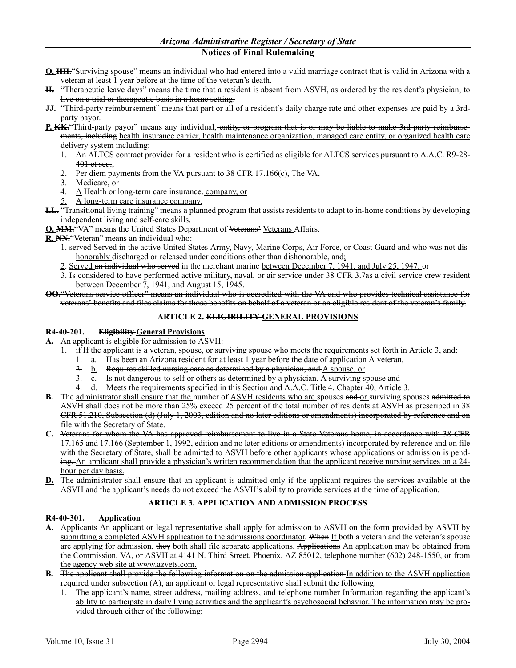- **O. HH.**"Surviving spouse" means an individual who had entered into a valid marriage contract that is valid in Arizona with a veteran at least 1 year before at the time of the veteran's death.
- **II.** "Therapeutic leave days" means the time that a resident is absent from ASVH, as ordered by the resident's physician, to live on a trial or therapeutic basis in a home setting.
- **JJ.** "Third-party reimbursement" means that part or all of a resident's daily charge rate and other expenses are paid by a 3rdparty payor.
- **P. KK.**"Third-party payor" means any individual, entity, or program that is or may be liable to make 3rd-party reimbursements, including health insurance carrier, health maintenance organization, managed care entity, or organized health care delivery system including:
	- 1. An ALTCS contract provider for a resident who is certified as eligible for ALTCS services pursuant to A.A.C. R9-28- $401$  et seq.,
	- 2. Per diem payments from the VA pursuant to 38 CFR 17.166(e), The VA,
	- 3. Medicare, or
	- 4.  $A$  Health or long-term care insurance. company, or
	- 5. A long-term care insurance company.
- **LL.** "Transitional living training" means a planned program that assists residents to adapt to in-home conditions by developing independent living and self-care skills.
- **Q. MM.**"VA" means the United States Department of Veterans' Veterans Affairs.
- **R. NN.**"Veteran" means an individual who:
	- 1. served Served in the active United States Army, Navy, Marine Corps, Air Force, or Coast Guard and who was not dishonorably discharged or released under conditions other than dishonorable, and;
	- 2. Served an individual who served in the merchant marine between December 7, 1941, and July 25, 1947; or
	- 3. Is considered to have performed active military, naval, or air service under 38 CFR 3.7as a civil service crew resident between December 7, 1941, and August 15, 1945.
- **OO.**"Veterans service officer" means an individual who is accredited with the VA and who provides technical assistance for veterans' benefits and files claims for those benefits on behalf of a veteran or an eligible resident of the veteran's family.

#### **ARTICLE 2. ELIGIBILITY GENERAL PROVISIONS**

#### **R4-40-201. Eligibility General Provisions**

- **A.** An applicant is eligible for admission to ASVH:
	- $1.$  if If the applicant is a veteran, spouse, or surviving spouse who meets the requirements set forth in Article 3, and:
		- 1. a. Has been an Arizona resident for at least 1 year before the date of application A veteran,
		- 2. b. Requires skilled nursing care as determined by a physician, and A spouse, or
		- 3.  $\frac{c}{c}$  Is not dangerous to self or others as determined by a physician. A surviving spouse and
		- 4. d. Meets the requirements specified in this Section and A.A.C. Title 4, Chapter 40, Article 3.
- **B.** The administrator shall ensure that the number of ASVH residents who are spouses and or surviving spouses admitted to ASVH shall does not be more than 25% exceed 25 percent of the total number of residents at ASVH as prescribed in 38 CFR 51.210, Subsection (d) (July 1, 2003, edition and no later editions or amendments) incorporated by reference and on file with the Secretary of State.
- **C.** Veterans for whom the VA has approved reimbursement to live in a State Veterans home, in accordance with 38 CFR 17.165 and 17.166 (September 1, 1992, edition and no later editions or amendments) incorporated by reference and on file with the Secretary of State, shall be admitted to ASVH before other applicants whose applications or admission is pending. An applicant shall provide a physician's written recommendation that the applicant receive nursing services on a 24hour per day basis.
- **D.** The administrator shall ensure that an applicant is admitted only if the applicant requires the services available at the ASVH and the applicant's needs do not exceed the ASVH's ability to provide services at the time of application.

## **ARTICLE 3. APPLICATION AND ADMISSION PROCESS**

## **R4-40-301. Application**

- **A.** Applicants An applicant or legal representative shall apply for admission to ASVH on the form provided by ASVH by submitting a completed ASVH application to the admissions coordinator. When If both a veteran and the veteran's spouse are applying for admission, they both shall file separate applications. Applications An application may be obtained from the Commission, VA, or ASVH at 4141 N. Third Street, Phoenix, AZ 85012, telephone number (602) 248-1550, or from the agency web site at www.azvets.com.
- **B.** The applicant shall provide the following information on the admission application In addition to the ASVH application required under subsection (A), an applicant or legal representative shall submit the following:
	- 1. The applicant's name, street address, mailing address, and telephone number Information regarding the applicant's ability to participate in daily living activities and the applicant's psychosocial behavior. The information may be provided through either of the following: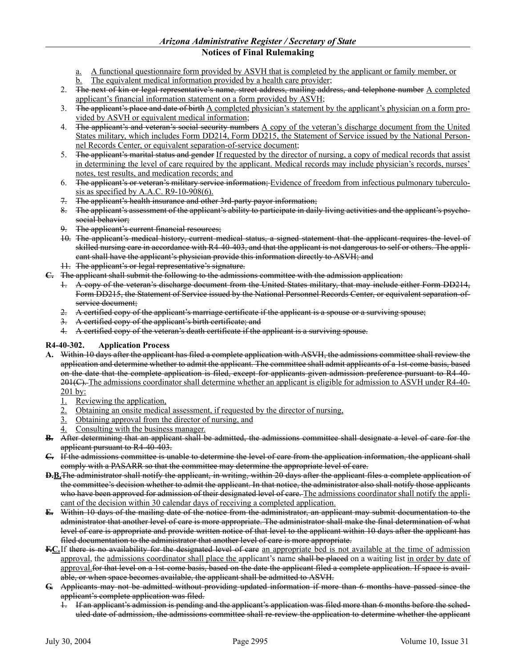## *Arizona Administrative Register / Secretary of State*

## **Notices of Final Rulemaking**

- a. A functional questionnaire form provided by ASVH that is completed by the applicant or family member, or
- b. The equivalent medical information provided by a health care provider;
- 2. The next of kin or legal representative's name, street address, mailing address, and telephone number  $\Delta$  completed applicant's financial information statement on a form provided by ASVH;
- The applicant's place and date of birth A completed physician's statement by the applicant's physician on a form provided by ASVH or equivalent medical information;
- 4. The applicant's and veteran's social security numbers A copy of the veteran's discharge document from the United States military, which includes Form DD214, Form DD215, the Statement of Service issued by the National Personnel Records Center, or equivalent separation-of-service document;
- 5. The applicant's marital status and gender If requested by the director of nursing, a copy of medical records that assist in determining the level of care required by the applicant. Medical records may include physician's records, nurses' notes, test results, and medication records; and
- 6. The applicant's or veteran's military service information; Evidence of freedom from infectious pulmonary tuberculosis as specified by A.A.C.  $R9-10-908(6)$ .
- 7. The applicant's health insurance and other 3rd-party payor information;
- 8. The applicant's assessment of the applicant's ability to participate in daily living activities and the applicant's psychosocial behavior;
- 9. The applicant's current financial resources;
- 10. The applicant's medical history, current medical status, a signed statement that the applicant requires the level of skilled nursing care in accordance with R4-40-403, and that the applicant is not dangerous to self or others. The applicant shall have the applicant's physician provide this information directly to ASVH; and
- 11. The applicant's or legal representative's signature.
- **C.** The applicant shall submit the following to the admissions committee with the admission application:
	- 1. A copy of the veteran's discharge document from the United States military, that may include either Form DD214, Form DD215, the Statement of Service issued by the National Personnel Records Center, or equivalent separation-ofservice document;
	- 2. A certified copy of the applicant's marriage certificate if the applicant is a spouse or a surviving spouse;
	- 3. A certified copy of the applicant's birth certificate; and
	- 4. A certified copy of the veteran's death certificate if the applicant is a surviving spouse.

## **R4-40-302. Application Process**

- **A.** Within 10 days after the applicant has filed a complete application with ASVH, the admissions committee shall review the application and determine whether to admit the applicant. The committee shall admit applicants of a 1st-come basis, based on the date that the complete application is filed, except for applicants given admission preference pursuant to R4-40- 201(C). The admissions coordinator shall determine whether an applicant is eligible for admission to ASVH under R4-40-201 by:
	- 1. Reviewing the application,
	- 2. Obtaining an onsite medical assessment, if requested by the director of nursing,
	- Obtaining approval from the director of nursing, and
	- Consulting with the business manager.
- **B.** After determining that an applicant shall be admitted, the admissions committee shall designate a level of care for the applicant pursuant to R4-40-403.
- **C.** If the admissions committee is unable to determine the level of care from the application information, the applicant shall comply with a PASARR so that the committee may determine the appropriate level of care.
- **D.B.**The administrator shall notify the applicant, in writing, within 20 days after the applicant files a complete application of the committee's decision whether to admit the applicant. In that notice, the administrator also shall notify those applicants who have been approved for admission of their designated level of care. The admissions coordinator shall notify the applicant of the decision within 30 calendar days of receiving a completed application.
- **E.** Within 10 days of the mailing date of the notice from the administrator, an applicant may submit documentation to the administrator that another level of care is more appropriate. The administrator shall make the final determination of what level of care is appropriate and provide written notice of that level to the applicant within 10 days after the applicant has filed documentation to the administrator that another level of care is more appropriate.
- **F.C.**If there is no availability for the designated level of care an appropriate bed is not available at the time of admission approval, the admissions coordinator shall place the applicant's name shall be placed on a waiting list in order by date of approval. For that level on a 1st-come basis, based on the date the applicant filed a complete application. If space is available, or when space becomes available, the applicant shall be admitted to ASVH.
- **G.** Applicants may not be admitted without providing updated information if more than 6 months have passed since the applicant's complete application was filed.
	- 1. If an applicant's admission is pending and the applicant's application was filed more than 6 months before the scheduled date of admission, the admissions committee shall re-review the application to determine whether the applicant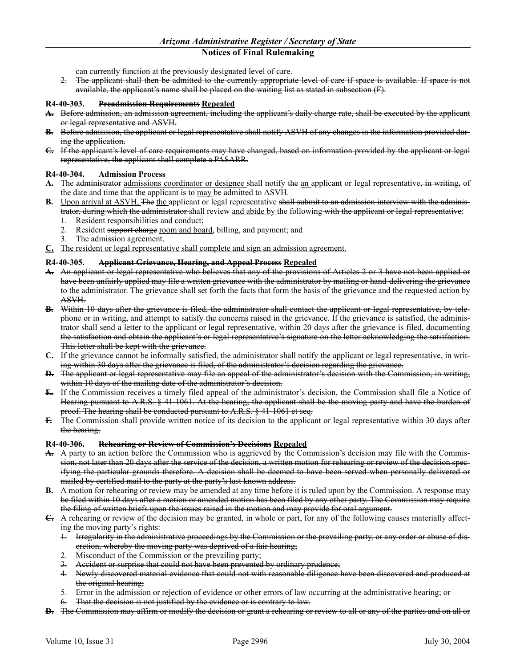can currently function at the previously designated level of care.

2. The applicant shall then be admitted to the currently appropriate level of care if space is available. If space is not available, the applicant's name shall be placed on the waiting list as stated in subsection (F).

#### **R4-40-303. Preadmission Requirements Repealed**

- **A.** Before admission, an admission agreement, including the applicant's daily charge rate, shall be executed by the applicant or legal representative and ASVH.
- **B.** Before admission, the applicant or legal representative shall notify ASVH of any changes in the information provided during the application.
- **C.** If the applicant's level of care requirements may have changed, based on information provided by the applicant or legal representative, the applicant shall complete a PASARR.

## **R4-40-304. Admission Process**

- A. The administrator admissions coordinator or designee shall notify the an applicant or legal representative, in writing, of the date and time that the applicant is to may be admitted to ASVH.
- **B.** Upon arrival at ASVH, The the applicant or legal representative shall submit to an admission interview with the administrator, during which the administrator shall review and abide by the following with the applicant or legal representative:
	- 1. Resident responsibilities and conduct;
	- 2. Resident support charge room and board, billing, and payment; and
	- 3. The admission agreement.
- **C.** The resident or legal representative shall complete and sign an admission agreement.

#### **R4-40-305. Applicant Grievance, Hearing, and Appeal Process Repealed**

- **A.** An applicant or legal representative who believes that any of the provisions of Articles 2 or 3 have not been applied or have been unfairly applied may file a written grievance with the administrator by mailing or hand-delivering the grievance to the administrator. The grievance shall set forth the facts that form the basis of the grievance and the requested action by ASVH.
- **B.** Within 10 days after the grievance is filed, the administrator shall contact the applicant or legal representative, by telephone or in writing, and attempt to satisfy the concerns raised in the grievance. If the grievance is satisfied, the administrator shall send a letter to the applicant or legal representative, within 20 days after the grievance is filed, documenting the satisfaction and obtain the applicant's or legal representative's signature on the letter acknowledging the satisfaction. This letter shall be kept with the grievance.
- **C.** If the grievance cannot be informally satisfied, the administrator shall notify the applicant or legal representative, in writing within 30 days after the grievance is filed, of the administrator's decision regarding the grievance.
- **D.** The applicant or legal representative may file an appeal of the administrator's decision with the Commission, in writing, within 10 days of the mailing date of the administrator's decision.
- **E.** If the Commission receives a timely filed appeal of the administrator's decision, the Commission shall file a Notice of Hearing pursuant to A.R.S. § 41-1061. At the hearing, the applicant shall be the moving party and have the burden of proof. The hearing shall be conducted pursuant to A.R.S. § 41-1061 et seq.
- **F.** The Commission shall provide written notice of its decision to the applicant or legal representative within 30 days after the hearing.

#### **R4-40-306. Rehearing or Review of Commission's Decisions Repealed**

- **A.** A party to an action before the Commission who is aggrieved by the Commission's decision may file with the Commission, not later than 20 days after the service of the decision, a written motion for rehearing or review of the decision specifying the particular grounds therefore. A decision shall be deemed to have been served when personally delivered or mailed by certified mail to the party at the party's last known address.
- **B.** A motion for rehearing or review may be amended at any time before it is ruled upon by the Commission. A response may be filed within 10 days after a motion or amended motion has been filed by any other party. The Commission may require the filing of written briefs upon the issues raised in the motion and may provide for oral argument.
- **C.** A rehearing or review of the decision may be granted, in whole or part, for any of the following causes materially affecting the moving party's rights:
	- 1. Irregularity in the administrative proceedings by the Commission or the prevailing party, or any order or abuse of discretion, whereby the moving party was deprived of a fair hearing;
	- 2. Misconduct of the Commission or the prevailing party;
	- 3. Accident or surprise that could not have been prevented by ordinary prudence;
	- 4. Newly discovered material evidence that could not with reasonable diligence have been discovered and produced at the original hearing;
	- 5. Error in the admission or rejection of evidence or other errors of law occurring at the administrative hearing; or
	- 6. That the decision is not justified by the evidence or is contrary to law.
- **D.** The Commission may affirm or modify the decision or grant a rehearing or review to all or any of the parties and on all or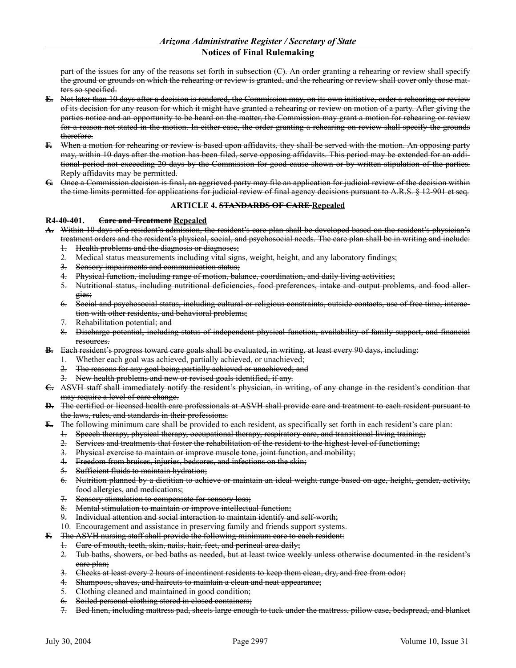part of the issues for any of the reasons set forth in subsection (C). An order granting a rehearing or review shall specify the ground or grounds on which the rehearing or review is granted, and the rehearing or review shall cover only those matters so specified.

- **E.** Not later than 10 days after a decision is rendered, the Commission may, on its own initiative, order a rehearing or review of its decision for any reason for which it might have granted a rehearing or review on motion of a party. After giving the parties notice and an opportunity to be heard on the matter, the Commission may grant a motion for rehearing or review for a reason not stated in the motion. In either case, the order granting a rehearing on review shall specify the grounds therefore.
- **F.** When a motion for rehearing or review is based upon affidavits, they shall be served with the motion. An opposing party may, within 10 days after the motion has been filed, serve opposing affidavits. This period may be extended for an additional period not exceeding 20 days by the Commission for good cause shown or by written stipulation of the parties. Reply affidavits may be permitted.
- **G.** Once a Commission decision is final, an aggrieved party may file an application for judicial review of the decision within the time limits permitted for applications for judicial review of final agency decisions pursuant to A.R.S. § 12-901 et seq.

#### **ARTICLE 4. STANDARDS OF CARE Repealed**

#### **R4-40-401. Care and Treatment Repealed**

- **A.** Within 10 days of a resident's admission, the resident's care plan shall be developed based on the resident's physician's treatment orders and the resident's physical, social, and psychosocial needs. The care plan shall be in writing and include:
	- 1. Health problems and the diagnosis or diagnoses;
	- 2. Medical status measurements including vital signs, weight, height, and any laboratory findings;
	- 3. Sensory impairments and communication status;
	- 4. Physical function, including range of motion, balance, coordination, and daily living activities;
	- 5. Nutritional status, including nutritional deficiencies, food preferences, intake and output problems, and food allergies;
	- 6. Social and psychosocial status, including cultural or religious constraints, outside contacts, use of free time, interaction with other residents, and behavioral problems;
	- 7. Rehabilitation potential; and
	- 8. Discharge potential, including status of independent physical function, availability of family support, and financial resources.
- **B.** Each resident's progress toward care goals shall be evaluated, in writing, at least every 90 days, including:
	- 1. Whether each goal was achieved, partially achieved, or unachieved;
	- The reasons for any goal being partially achieved or unachieved; and
	- 3. New health problems and new or revised goals identified, if any.
- **C.** ASVH staff shall immediately notify the resident's physician, in writing, of any change in the resident's condition that may require a level of care change.
- **D.** The certified or licensed health care professionals at ASVH shall provide care and treatment to each resident pursuant to the laws, rules, and standards in their professions.
- **E.** The following minimum care shall be provided to each resident, as specifically set forth in each resident's care plan:
	- 1. Speech therapy, physical therapy, occupational therapy, respiratory care, and transitional living training;
	- 2. Services and treatments that foster the rehabilitation of the resident to the highest level of functioning;
	- 3. Physical exercise to maintain or improve muscle tone, joint function, and mobility;
	- 4. Freedom from bruises, injuries, bedsores, and infections on the skin;
	- 5. Sufficient fluids to maintain hydration;
	- 6. Nutrition planned by a dietitian to achieve or maintain an ideal weight range based on age, height, gender, activity, food allergies, and medications;
	- 7. Sensory stimulation to compensate for sensory loss;
	- 8. Mental stimulation to maintain or improve intellectual function;
	- 9. Individual attention and social interaction to maintain identify and self-worth;
	- 10. Encouragement and assistance in preserving family and friends support systems.
- **F.** The ASVH nursing staff shall provide the following minimum care to each resident:
	- 1. Care of mouth, teeth, skin, nails, hair, feet, and perineal area daily;
	- 2. Tub baths, showers, or bed baths as needed, but at least twice weekly unless otherwise documented in the resident's care plan;
	- 3. Checks at least every 2 hours of incontinent residents to keep them clean, dry, and free from odor;
	- 4. Shampoos, shaves, and haircuts to maintain a clean and neat appearance;
	- 5. Clothing cleaned and maintained in good condition;
	- 6. Soiled personal clothing stored in closed containers;
	- 7. Bed linen, including mattress pad, sheets large enough to tuck under the mattress, pillow case, bedspread, and blanket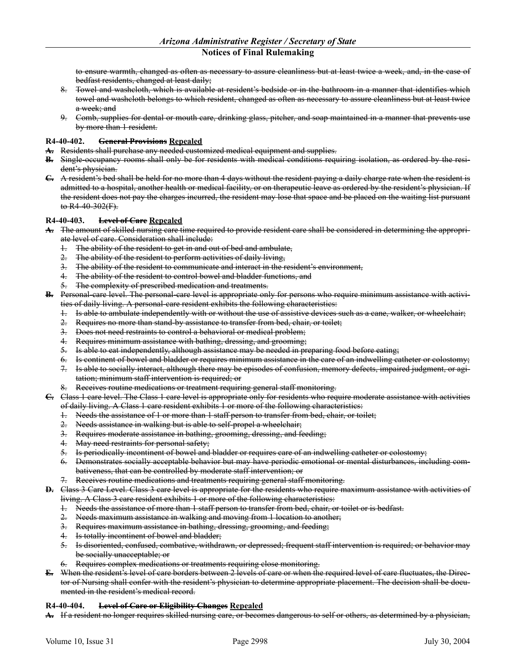to ensure warmth, changed as often as necessary to assure cleanliness but at least twice a week, and, in the case of bedfast residents, changed at least daily;

- 8. Towel and washcloth, which is available at resident's bedside or in the bathroom in a manner that identifies which towel and washcloth belongs to which resident, changed as often as necessary to assure cleanliness but at least twice a week; and
- 9. Comb, supplies for dental or mouth care, drinking glass, pitcher, and soap maintained in a manner that prevents use by more than 1 resident.

#### **R4-40-402. General Provisions Repealed**

- **A.** Residents shall purchase any needed customized medical equipment and supplies.
- **B.** Single-occupancy rooms shall only be for residents with medical conditions requiring isolation, as ordered by the resident's physician.
- **C.** A resident's bed shall be held for no more than 4 days without the resident paying a daily charge rate when the resident is admitted to a hospital, another health or medical facility, or on therapeutic leave as ordered by the resident's physician. If the resident does not pay the charges incurred, the resident may lose that space and be placed on the waiting list pursuant to R4-40-302(F).

#### **R4-40-403. Level of Care Repealed**

- **A.** The amount of skilled nursing care time required to provide resident care shall be considered in determining the appropriate level of care. Consideration shall include:
	- The ability of the resident to get in and out of bed and ambulate,
	- 2. The ability of the resident to perform activities of daily living,
	- 3. The ability of the resident to communicate and interact in the resident's environment,
	- 4. The ability of the resident to control bowel and bladder functions, and
	- 5. The complexity of prescribed medication and treatments.
- **B.** Personal-care level. The personal-care level is appropriate only for persons who require minimum assistance with activities of daily living. A personal-care resident exhibits the following characteristics:
	- 1. Is able to ambulate independently with or without the use of assistive devices such as a cane, walker, or wheelchair;
	- 2. Requires no more than stand-by assistance to transfer from bed, chair, or toilet;
	- 3. Does not need restraints to control a behavioral or medical problem;
	- 4. Requires minimum assistance with bathing, dressing, and grooming;
	- 5. Is able to eat independently, although assistance may be needed in preparing food before eating;
	- 6. Is continent of bowel and bladder or requires minimum assistance in the care of an indwelling catheter or colostomy;
	- 7. Is able to socially interact, although there may be episodes of confusion, memory defects, impaired judgment, or agitation; minimum staff intervention is required; or
	- Receives routine medications or treatment requiring general staff monitoring.

**C.** Class 1 care level. The Class 1 care level is appropriate only for residents who require moderate assistance with activities of daily living. A Class 1 care resident exhibits 1 or more of the following characteristics:

- 1. Needs the assistance of 1 or more than 1 staff person to transfer from bed, chair, or toilet;
- 2. Needs assistance in walking but is able to self-propel a wheelchair;
- 3. Requires moderate assistance in bathing, grooming, dressing, and feeding;
- 4. May need restraints for personal safety;
- 5. Is periodically incontinent of bowel and bladder or requires care of an indwelling catheter or colostomy;
- 6. Demonstrates socially acceptable behavior but may have periodic emotional or mental disturbances, including combativeness, that can be controlled by moderate staff intervention; or
- Receives routine medications and treatments requiring general staff monitoring.
- **D.** Class 3 Care Level. Class 3 care level is appropriate for the residents who require maximum assistance with activities of living. A Class 3 care resident exhibits 1 or more of the following characteristics:
	- 1. Needs the assistance of more than 1 staff person to transfer from bed, chair, or toilet or is bedfast.
	- 2. Needs maximum assistance in walking and moving from 1 location to another;
	- 3. Requires maximum assistance in bathing, dressing, grooming, and feeding;
	- 4. Is totally incontinent of bowel and bladder;
	- 5. Is disoriented, confused, combative, withdrawn, or depressed; frequent staff intervention is required; or behavior may be socially unacceptable; or
	- 6. Requires complex medications or treatments requiring close monitoring.
- **E.** When the resident's level of care borders between 2 levels of care or when the required level of care fluctuates, the Director of Nursing shall confer with the resident's physician to determine appropriate placement. The decision shall be documented in the resident's medical record.

#### **R4-40-404. Level of Care or Eligibility Changes Repealed**

**A.** If a resident no longer requires skilled nursing care, or becomes dangerous to self or others, as determined by a physician,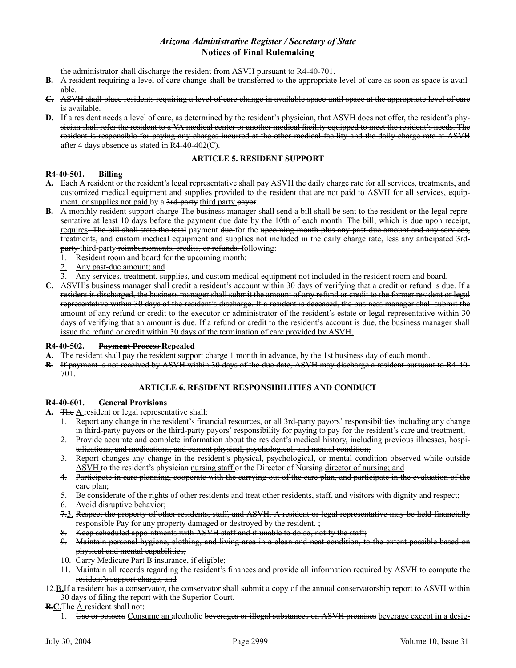the administrator shall discharge the resident from ASVH pursuant to R4-40-701.

- **B.** A resident requiring a level of care change shall be transferred to the appropriate level of care as soon as space is available.
- **C.** ASVH shall place residents requiring a level of care change in available space until space at the appropriate level of care is available.
- **D.** If a resident needs a level of care, as determined by the resident's physician, that ASVH does not offer, the resident's physician shall refer the resident to a VA medical center or another medical facility equipped to meet the resident's needs. The resident is responsible for paying any charges incurred at the other medical facility and the daily charge rate at ASVH after 4 days absence as stated in R4-40-402(C).

#### **ARTICLE 5. RESIDENT SUPPORT**

#### **R4-40-501. Billing**

- A. Each A resident or the resident's legal representative shall pay ASVH the daily charge rate for all services, treatments, and customized medical equipment and supplies provided to the resident that are not paid to ASVH for all services, equipment, or supplies not paid by a 3rd-party third party payor.
- **B.** A monthly resident support charge The business manager shall send a bill shall be sent to the resident or the legal representative at least 10 days before the payment due date by the 10th of each month. The bill, which is due upon receipt, requires. The bill shall state the total payment due for the upcoming month plus any past-due amount and any services, treatments, and custom medical equipment and supplies not included in the daily charge rate, less any anticipated 3rdparty third-party reimbursements, credits, or refunds. following:
	- 1. Resident room and board for the upcoming month;
	- 2. Any past-due amount; and
	- Any services, treatment, supplies, and custom medical equipment not included in the resident room and board.
- **C.** ASVH's business manager shall credit a resident's account within 30 days of verifying that a credit or refund is due. If a resident is discharged, the business manager shall submit the amount of any refund or credit to the former resident or legal representative within 30 days of the resident's discharge. If a resident is deceased, the business manager shall submit the amount of any refund or credit to the executor or administrator of the resident's estate or legal representative within 30 days of verifying that an amount is due. If a refund or credit to the resident's account is due, the business manager shall issue the refund or credit within 30 days of the termination of care provided by ASVH.

#### **R4-40-502. Payment Process Repealed**

- **A.** The resident shall pay the resident support charge 1 month in advance, by the 1st business day of each month.
- **B.** If payment is not received by ASVH within 30 days of the due date, ASVH may discharge a resident pursuant to R4-40- 701.

#### **ARTICLE 6. RESIDENT RESPONSIBILITIES AND CONDUCT**

#### **R4-40-601. General Provisions**

- **A.** The A resident or legal representative shall:
	- 1. Report any change in the resident's financial resources, or all 3rd-party payors' responsibilities including any change in third-party payors or the third-party payors' responsibility for paying to pay for the resident's care and treatment;
	- 2. Provide accurate and complete information about the resident's medical history, including previous illnesses, hospitalizations, and medications, and current physical, psychological, and mental condition;
	- 3. Report changes any change in the resident's physical, psychological, or mental condition observed while outside ASVH to the resident's physician nursing staff or the Director of Nursing director of nursing; and
	- 4. Participate in care planning, cooperate with the carrying out of the care plan, and participate in the evaluation of the care plan;
	- 5. Be considerate of the rights of other residents and treat other residents, staff, and visitors with dignity and respect;
	- 6. Avoid disruptive behavior;
	- 7.3. Respect the property of other residents, staff, and ASVH. A resident or legal representative may be held financially responsible Pay for any property damaged or destroyed by the resident.  $\div$
	- 8. Keep scheduled appointments with ASVH staff and if unable to do so, notify the staff;
	- 9. Maintain personal hygiene, clothing, and living area in a clean and neat condition, to the extent possible based on physical and mental capabilities;
	- 10. Carry Medicare Part B insurance, if eligible;
	- 11. Maintain all records regarding the resident's finances and provide all information required by ASVH to compute the resident's support charge; and
- 12.**B.**If a resident has a conservator, the conservator shall submit a copy of the annual conservatorship report to ASVH within 30 days of filing the report with the Superior Court.

#### **B.C.**The A resident shall not:

1. Use or possess Consume an alcoholic beverages or illegal substances on ASVH premises beverage except in a desig-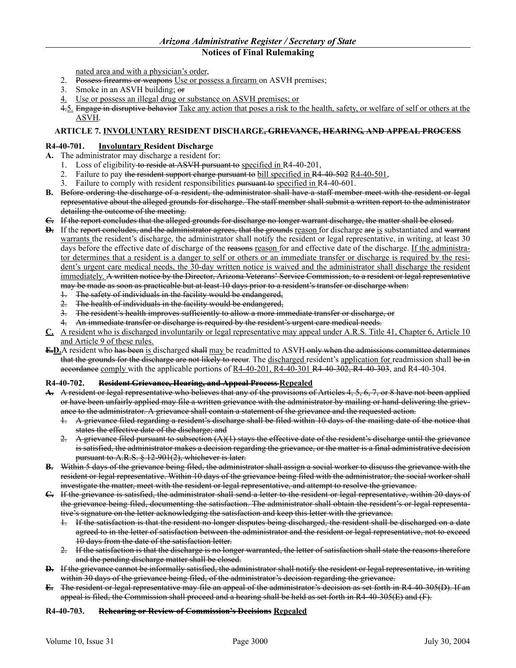nated area and with a physician's order,

- 2. Possess firearms or weapons Use or possess a firearm on ASVH premises;
- 3. Smoke in an ASVH building; or
- 4. Use or possess an illegal drug or substance on ASVH premises; or
- 4.5. Engage in disruptive behavior Take any action that poses a risk to the health, safety, or welfare of self or others at the ASVH.

## **ARTICLE 7. INVOLUNTARY RESIDENT DISCHARGE, GRIEVANCE, HEARING, AND APPEAL PROCESS**

## **R4-40-701. Involuntary Resident Discharge**

- **A.** The administrator may discharge a resident for:
	- 1. Loss of eligibility to reside at ASVH pursuant to specified in R4-40-201,
	- Failure to pay the resident support charge pursuant to bill specified in R4-40-502 R4-40-501,
	- 3. Failure to comply with resident responsibilities pursuant to specified in R4-40-601.
- **B.** Before ordering the discharge of a resident, the administrator shall have a staff member meet with the resident or legal representative about the alleged grounds for discharge. The staff member shall submit a written report to the administrator detailing the outcome of the meeting.
- **C.** If the report concludes that the alleged grounds for discharge no longer warrant discharge, the matter shall be closed.
- **D.** If the report concludes, and the administrator agrees, that the grounds reason for discharge are is substantiated and warrant warrants the resident's discharge, the administrator shall notify the resident or legal representative, in writing, at least 30 days before the effective date of discharge of the reasons reason for and effective date of the discharge. If the administrator determines that a resident is a danger to self or others or an immediate transfer or discharge is required by the resident's urgent care medical needs, the 30-day written notice is waived and the administrator shall discharge the resident immediately. A written notice by the Director, Arizona Veterans' Service Commission, to a resident or legal representative may be made as soon as practicable but at least 10 days prior to a resident's transfer or discharge when:
	- 1. The safety of individuals in the facility would be endangered,
	- 2. The health of individuals in the facility would be endangered,
	- 3. The resident's health improves sufficiently to allow a more immediate transfer or discharge, or
	- 4. An immediate transfer or discharge is required by the resident's urgent care medical needs.
- **C.** A resident who is discharged involuntarily or legal representative may appeal under A.R.S. Title 41, Chapter 6, Article 10 and Article 9 of these rules.
- **E.D.**A resident who has been is discharged shall may be readmitted to ASVH only when the admissions committee determines that the grounds for the discharge are not likely to recur. The discharged resident's application for readmission shall be in accordance comply with the applicable portions of  $R4-40-201$ ,  $R4-40-301$ ,  $R4-40-302$ ,  $R4-40-303$ , and  $R4-40-304$ .

## **R4-40-702. Resident Grievance, Hearing, and Appeal Process Repealed**

- **A.** A resident or legal representative who believes that any of the provisions of Articles 4, 5, 6, 7, or 8 have not been applied or have been unfairly applied may file a written grievance with the administrator by mailing or hand-delivering the grievance to the administrator. A grievance shall contain a statement of the grievance and the requested action.
	- 1. A grievance filed regarding a resident's discharge shall be filed within 10 days of the mailing date of the notice that states the effective date of the discharge; and
	- 2. A grievance filed pursuant to subsection  $(A)(1)$  stays the effective date of the resident's discharge until the grievance is satisfied, the administrator makes a decision regarding the grievance, or the matter is a final administrative decision pursuant to A.R.S. § 12-901(2), whichever is later.
- **B.** Within 5 days of the grievance being filed, the administrator shall assign a social worker to discuss the grievance with the resident or legal representative. Within 10 days of the grievance being filed with the administrator, the social worker shall investigate the matter, meet with the resident or legal representative, and attempt to resolve the grievance.
- **C.** If the grievance is satisfied, the administrator shall send a letter to the resident or legal representative, within 20 days of the grievance being filed, documenting the satisfaction. The administrator shall obtain the resident's or legal representative's signature on the letter acknowledging the satisfaction and keep this letter with the grievance.
	- 1. If the satisfaction is that the resident no longer disputes being discharged, the resident shall be discharged on a date agreed to in the letter of satisfaction between the administrator and the resident or legal representative, not to exceed 10 days from the date of the satisfaction letter.
	- 2. If the satisfaction is that the discharge is no longer warranted, the letter of satisfaction shall state the reasons therefore and the pending discharge matter shall be closed.
- **D.** If the grievance cannot be informally satisfied, the administrator shall notify the resident or legal representative, in writing within 30 days of the grievance being filed, of the administrator's decision regarding the grievance.
- **E.** The resident or legal representative may file an appeal of the administrator's decision as set forth in R4-40-305(D). If an appeal is filed, the Commission shall proceed and a hearing shall be held as set forth in R4-40-305(E) and (F).

#### **R4-40-703. Rehearing or Review of Commission's Decisions Repealed**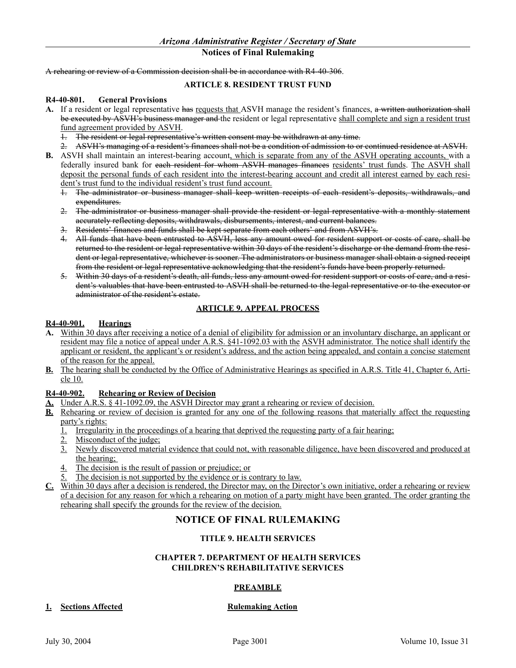A rehearing or review of a Commission decision shall be in accordance with R4-40-306.

#### **ARTICLE 8. RESIDENT TRUST FUND**

#### **R4-40-801. General Provisions**

- A. If a resident or legal representative has requests that ASVH manage the resident's finances, a written authorization shall be executed by ASVH's business manager and the resident or legal representative shall complete and sign a resident trust fund agreement provided by ASVH.<br>+ The resident or legal representation
	- The resident or legal representative's written consent may be withdrawn at any time.
	- 2. ASVH's managing of a resident's finances shall not be a condition of admission to or continued residence at ASVH.
- **B.** ASVH shall maintain an interest-bearing account, which is separate from any of the ASVH operating accounts, with a federally insured bank for each resident for whom ASVH manages finances residents' trust funds. The ASVH shall deposit the personal funds of each resident into the interest-bearing account and credit all interest earned by each resident's trust fund to the individual resident's trust fund account.
	- 1. The administrator or business manager shall keep written receipts of each resident's deposits, withdrawals, and expenditures.
	- 2. The administrator or business manager shall provide the resident or legal representative with a monthly statement accurately reflecting deposits, withdrawals, disbursements, interest, and current balances.
	- 3. Residents' finances and funds shall be kept separate from each others' and from ASVH's.
	- 4. All funds that have been entrusted to ASVH, less any amount owed for resident support or costs of care, shall be returned to the resident or legal representative within 30 days of the resident's discharge or the demand from the resident or legal representative, whichever is sooner. The administrators or business manager shall obtain a signed receipt from the resident or legal representative acknowledging that the resident's funds have been properly returned.
	- 5. Within 30 days of a resident's death, all funds, less any amount owed for resident support or costs of care, and a resident's valuables that have been entrusted to ASVH shall be returned to the legal representative or to the executor or administrator of the resident's estate.

## **ARTICLE 9. APPEAL PROCESS**

#### **R4-40-901. Hearings**

- **A.** Within 30 days after receiving a notice of a denial of eligibility for admission or an involuntary discharge, an applicant or resident may file a notice of appeal under A.R.S. §41-1092.03 with the ASVH administrator. The notice shall identify the applicant or resident, the applicant's or resident's address, and the action being appealed, and contain a concise statement of the reason for the appeal.
- **B.** The hearing shall be conducted by the Office of Administrative Hearings as specified in A.R.S. Title 41, Chapter 6, Article 10.

## **R4-40-902. Rehearing or Review of Decision**

- **A.** Under A.R.S. § 41-1092.09, the ASVH Director may grant a rehearing or review of decision.
- **B.** Rehearing or review of decision is granted for any one of the following reasons that materially affect the requesting party's rights:
	- 1. Irregularity in the proceedings of a hearing that deprived the requesting party of a fair hearing;
	- 2. Misconduct of the judge;
	- 3. Newly discovered material evidence that could not, with reasonable diligence, have been discovered and produced at the hearing;
	- 4. The decision is the result of passion or prejudice; or
	- The decision is not supported by the evidence or is contrary to law.
- **C.** Within 30 days after a decision is rendered, the Director may, on the Director's own initiative, order a rehearing or review of a decision for any reason for which a rehearing on motion of a party might have been granted. The order granting the rehearing shall specify the grounds for the review of the decision.

## **NOTICE OF FINAL RULEMAKING**

## **TITLE 9. HEALTH SERVICES**

#### **CHAPTER 7. DEPARTMENT OF HEALTH SERVICES CHILDREN'S REHABILITATIVE SERVICES**

## **PREAMBLE**

## **1. Sections Affected Rulemaking Action**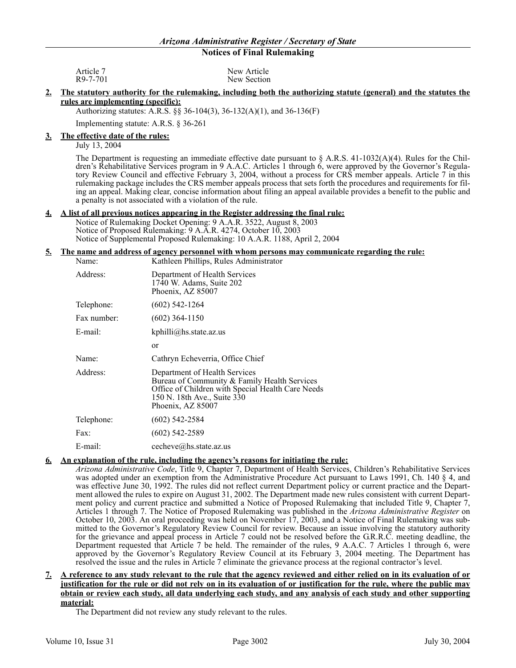| Article 7 | New Article |
|-----------|-------------|
| R9-7-701  | New Section |

#### **2. The statutory authority for the rulemaking, including both the authorizing statute (general) and the statutes the rules are implementing (specific):**

Authorizing statutes: A.R.S. §§ 36-104(3), 36-132(A)(1), and 36-136(F)

Implementing statute: A.R.S. § 36-261

#### **3. The effective date of the rules:**

July 13, 2004

The Department is requesting an immediate effective date pursuant to  $\S$  A.R.S. 41-1032(A)(4). Rules for the Children's Rehabilitative Services program in 9 A.A.C. Articles 1 through 6, were approved by the Governor's Regulatory Review Council and effective February 3, 2004, without a process for CRS member appeals. Article 7 in this rulemaking package includes the CRS member appeals process that sets forth the procedures and requirements for filing an appeal. Making clear, concise information about filing an appeal available provides a benefit to the public and a penalty is not associated with a violation of the rule.

#### **4. A list of all previous notices appearing in the Register addressing the final rule:**

Notice of Rulemaking Docket Opening: 9 A.A.R. 3522, August 8, 2003 Notice of Proposed Rulemaking: 9 A.A.R. 4274, October 10, 2003 Notice of Supplemental Proposed Rulemaking: 10 A.A.R. 1188, April 2, 2004

#### **5. The name and address of agency personnel with whom persons may communicate regarding the rule:**

| Name:       | Kathleen Phillips, Rules Administrator                                                                                                                                                 |  |  |
|-------------|----------------------------------------------------------------------------------------------------------------------------------------------------------------------------------------|--|--|
| Address:    | Department of Health Services<br>1740 W. Adams, Suite 202<br>Phoenix, AZ 85007                                                                                                         |  |  |
| Telephone:  | $(602)$ 542-1264                                                                                                                                                                       |  |  |
| Fax number: | $(602)$ 364-1150                                                                                                                                                                       |  |  |
| E-mail:     | kphilli@hs. state. az. us                                                                                                                                                              |  |  |
|             | or                                                                                                                                                                                     |  |  |
| Name:       | Cathryn Echeverria, Office Chief                                                                                                                                                       |  |  |
| Address:    | Department of Health Services<br>Bureau of Community & Family Health Services<br>Office of Children with Special Health Care Needs<br>150 N. 18th Ave., Suite 330<br>Phoenix, AZ 85007 |  |  |
| Telephone:  | $(602)$ 542-2584                                                                                                                                                                       |  |  |
| Fax:        | $(602)$ 542-2589                                                                                                                                                                       |  |  |
| E-mail:     | cecheve@hs.state.az.us                                                                                                                                                                 |  |  |

#### **6. An explanation of the rule, including the agency's reasons for initiating the rule:**

*Arizona Administrative Code*, Title 9, Chapter 7, Department of Health Services, Children's Rehabilitative Services was adopted under an exemption from the Administrative Procedure Act pursuant to Laws 1991, Ch. 140 § 4, and was effective June 30, 1992. The rules did not reflect current Department policy or current practice and the Department allowed the rules to expire on August 31, 2002. The Department made new rules consistent with current Department policy and current practice and submitted a Notice of Proposed Rulemaking that included Title 9, Chapter 7, Articles 1 through 7. The Notice of Proposed Rulemaking was published in the *Arizona Administrative Register* on October 10, 2003. An oral proceeding was held on November 17, 2003, and a Notice of Final Rulemaking was submitted to the Governor's Regulatory Review Council for review. Because an issue involving the statutory authority for the grievance and appeal process in Article 7 could not be resolved before the G.R.R.C. meeting deadline, the Department requested that Article 7 be held. The remainder of the rules, 9 A.A.C. 7 Articles 1 through 6, were approved by the Governor's Regulatory Review Council at its February 3, 2004 meeting. The Department has resolved the issue and the rules in Article 7 eliminate the grievance process at the regional contractor's level.

#### **7. A reference to any study relevant to the rule that the agency reviewed and either relied on in its evaluation of or justification for the rule or did not rely on in its evaluation of or justification for the rule, where the public may obtain or review each study, all data underlying each study, and any analysis of each study and other supporting material:**

The Department did not review any study relevant to the rules.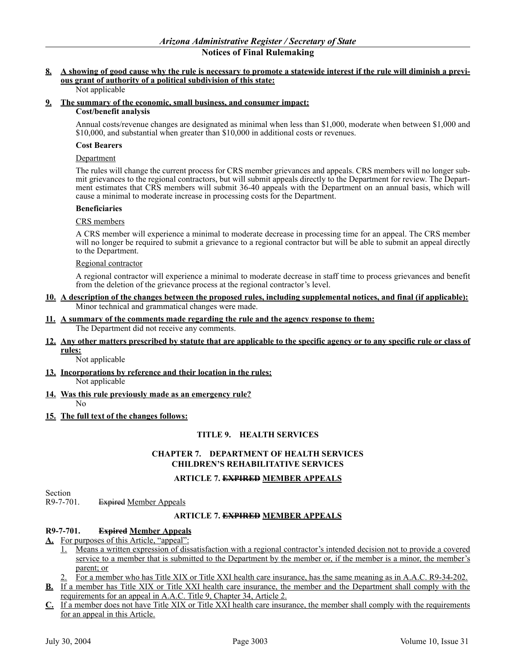## **8. A showing of good cause why the rule is necessary to promote a statewide interest if the rule will diminish a previous grant of authority of a political subdivision of this state:**

#### Not applicable

## **9. The summary of the economic, small business, and consumer impact:**

#### **Cost/benefit analysis**

Annual costs/revenue changes are designated as minimal when less than \$1,000, moderate when between \$1,000 and \$10,000, and substantial when greater than \$10,000 in additional costs or revenues.

#### **Cost Bearers**

#### Department

The rules will change the current process for CRS member grievances and appeals. CRS members will no longer submit grievances to the regional contractors, but will submit appeals directly to the Department for review. The Department estimates that CRS members will submit 36-40 appeals with the Department on an annual basis, which will cause a minimal to moderate increase in processing costs for the Department.

#### **Beneficiaries**

#### CRS members

A CRS member will experience a minimal to moderate decrease in processing time for an appeal. The CRS member will no longer be required to submit a grievance to a regional contractor but will be able to submit an appeal directly to the Department.

#### Regional contractor

A regional contractor will experience a minimal to moderate decrease in staff time to process grievances and benefit from the deletion of the grievance process at the regional contractor's level.

#### **10. A description of the changes between the proposed rules, including supplemental notices, and final (if applicable):** Minor technical and grammatical changes were made.

**11. A summary of the comments made regarding the rule and the agency response to them:** The Department did not receive any comments.

## **12. Any other matters prescribed by statute that are applicable to the specific agency or to any specific rule or class of rules:**

Not applicable

- **13. Incorporations by reference and their location in the rules:** Not applicable
- **14. Was this rule previously made as an emergency rule?**

No

**15. The full text of the changes follows:**

## **TITLE 9. HEALTH SERVICES**

## **CHAPTER 7. DEPARTMENT OF HEALTH SERVICES CHILDREN'S REHABILITATIVE SERVICES**

## **ARTICLE 7. EXPIRED MEMBER APPEALS**

Section<br>R9-7-701.

Expired Member Appeals

## **ARTICLE 7. EXPIRED MEMBER APPEALS**

## **R9-7-701. Expired Member Appeals**

- A. For purposes of this Article, "appeal":
	- 1. Means a written expression of dissatisfaction with a regional contractor's intended decision not to provide a covered service to a member that is submitted to the Department by the member or, if the member is a minor, the member's parent; or
	- 2. For a member who has Title XIX or Title XXI health care insurance, has the same meaning as in A.A.C. R9-34-202.
- **B.** If a member has Title XIX or Title XXI health care insurance, the member and the Department shall comply with the requirements for an appeal in A.A.C. Title 9, Chapter 34, Article 2.
- **C.** If a member does not have Title XIX or Title XXI health care insurance, the member shall comply with the requirements for an appeal in this Article.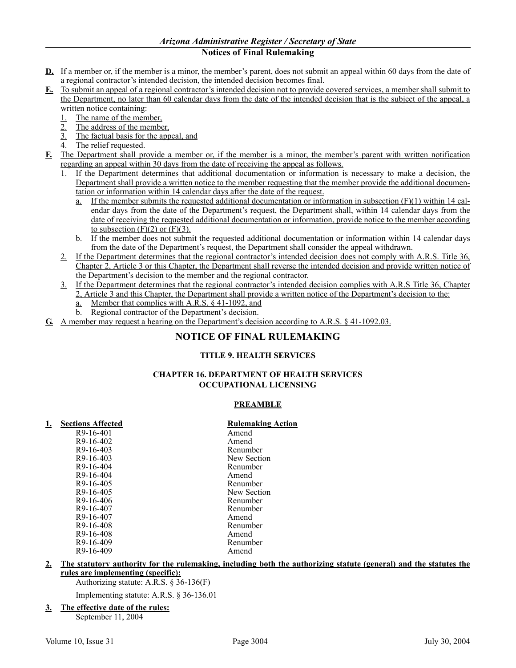## *Arizona Administrative Register / Secretary of State*

## **Notices of Final Rulemaking**

- **D.** If a member or, if the member is a minor, the member's parent, does not submit an appeal within 60 days from the date of a regional contractor's intended decision, the intended decision becomes final.
- **E.** To submit an appeal of a regional contractor's intended decision not to provide covered services, a member shall submit to the Department, no later than 60 calendar days from the date of the intended decision that is the subject of the appeal, a written notice containing:
	- 1. The name of the member,
	- 2. The address of the member,
	- 3. The factual basis for the appeal, and
	- The relief requested.
- **F.** The Department shall provide a member or, if the member is a minor, the member's parent with written notification regarding an appeal within 30 days from the date of receiving the appeal as follows.
	- 1. If the Department determines that additional documentation or information is necessary to make a decision, the Department shall provide a written notice to the member requesting that the member provide the additional documentation or information within 14 calendar days after the date of the request.
		- <u>a.</u> If the member submits the requested additional documentation or information in subsection  $(F)(1)$  within 14 calendar days from the date of the Department's request, the Department shall, within 14 calendar days from the date of receiving the requested additional documentation or information, provide notice to the member according to subsection  $(F)(2)$  or  $(F)(3)$ .
		- b. If the member does not submit the requested additional documentation or information within 14 calendar days from the date of the Department's request, the Department shall consider the appeal withdrawn.
	- 2. If the Department determines that the regional contractor's intended decision does not comply with A.R.S. Title 36, Chapter 2, Article 3 or this Chapter, the Department shall reverse the intended decision and provide written notice of the Department's decision to the member and the regional contractor.
	- 3. If the Department determines that the regional contractor's intended decision complies with A.R.S Title 36, Chapter 2, Article 3 and this Chapter, the Department shall provide a written notice of the Department's decision to the:
		- a. Member that complies with A.R.S. § 41-1092, and
		- b. Regional contractor of the Department's decision.
- **G.** A member may request a hearing on the Department's decision according to A.R.S. § 41-1092.03.

# **NOTICE OF FINAL RULEMAKING**

## **TITLE 9. HEALTH SERVICES**

## **CHAPTER 16. DEPARTMENT OF HEALTH SERVICES OCCUPATIONAL LICENSING**

## **PREAMBLE**

## **1. Sections Affected Rulemaking Action**

|           | raavmanne   |
|-----------|-------------|
| R9-16-401 | Amend       |
| R9-16-402 | Amend       |
| R9-16-403 | Renumber    |
| R9-16-403 | New Section |
| R9-16-404 | Renumber    |
| R9-16-404 | Amend       |
| R9-16-405 | Renumber    |
| R9-16-405 | New Section |
| R9-16-406 | Renumber    |
| R9-16-407 | Renumber    |
| R9-16-407 | Amend       |
| R9-16-408 | Renumber    |
| R9-16-408 | Amend       |
| R9-16-409 | Renumber    |
| R9-16-409 | Amend       |
|           |             |

#### **2. The statutory authority for the rulemaking, including both the authorizing statute (general) and the statutes the rules are implementing (specific):**

Authorizing statute: A.R.S. § 36-136(F)

Implementing statute: A.R.S. § 36-136.01

**3. The effective date of the rules:** September 11, 2004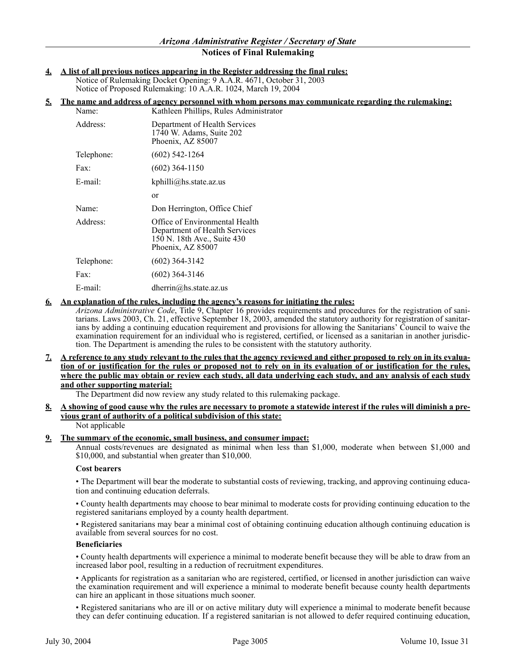**4. A list of all previous notices appearing in the Register addressing the final rules:**

Notice of Rulemaking Docket Opening: 9 A.A.R. 4671, October 31, 2003 Notice of Proposed Rulemaking: 10 A.A.R. 1024, March 19, 2004

#### **5. The name and address of agency personnel with whom persons may communicate regarding the rulemaking:**

| Name:      | Kathleen Phillips, Rules Administrator                                                                              |
|------------|---------------------------------------------------------------------------------------------------------------------|
| Address:   | Department of Health Services<br>1740 W. Adams, Suite 202<br>Phoenix, AZ 85007                                      |
| Telephone: | $(602)$ 542-1264                                                                                                    |
| Fax:       | $(602)$ 364-1150                                                                                                    |
| $E$ -mail: | kphilli@hs. state. az. us                                                                                           |
|            | <sub>or</sub>                                                                                                       |
| Name:      | Don Herrington, Office Chief                                                                                        |
| Address:   | Office of Environmental Health<br>Department of Health Services<br>150 N. 18th Ave., Suite 430<br>Phoenix, AZ 85007 |
| Telephone: | $(602)$ 364-3142                                                                                                    |
| Fax:       | $(602)$ 364-3146                                                                                                    |
| E-mail:    | dherrin@hs.state.az.us                                                                                              |

#### **6. An explanation of the rules, including the agency's reasons for initiating the rules:**

*Arizona Administrative Code*, Title 9, Chapter 16 provides requirements and procedures for the registration of sanitarians. Laws 2003, Ch. 21, effective September 18, 2003, amended the statutory authority for registration of sanitarians by adding a continuing education requirement and provisions for allowing the Sanitarians' Council to waive the examination requirement for an individual who is registered, certified, or licensed as a sanitarian in another jurisdiction. The Department is amending the rules to be consistent with the statutory authority.

#### **7. A reference to any study relevant to the rules that the agency reviewed and either proposed to rely on in its evaluation of or justification for the rules or proposed not to rely on in its evaluation of or justification for the rules, where the public may obtain or review each study, all data underlying each study, and any analysis of each study and other supporting material:**

The Department did now review any study related to this rulemaking package.

## **8. A showing of good cause why the rules are necessary to promote a statewide interest if the rules will diminish a previous grant of authority of a political subdivision of this state:**

Not applicable

## **9. The summary of the economic, small business, and consumer impact:**

Annual costs/revenues are designated as minimal when less than \$1,000, moderate when between \$1,000 and \$10,000, and substantial when greater than \$10,000.

#### **Cost bearers**

• The Department will bear the moderate to substantial costs of reviewing, tracking, and approving continuing education and continuing education deferrals.

• County health departments may choose to bear minimal to moderate costs for providing continuing education to the registered sanitarians employed by a county health department.

• Registered sanitarians may bear a minimal cost of obtaining continuing education although continuing education is available from several sources for no cost.

#### **Beneficiaries**

• County health departments will experience a minimal to moderate benefit because they will be able to draw from an increased labor pool, resulting in a reduction of recruitment expenditures.

• Applicants for registration as a sanitarian who are registered, certified, or licensed in another jurisdiction can waive the examination requirement and will experience a minimal to moderate benefit because county health departments can hire an applicant in those situations much sooner.

• Registered sanitarians who are ill or on active military duty will experience a minimal to moderate benefit because they can defer continuing education. If a registered sanitarian is not allowed to defer required continuing education,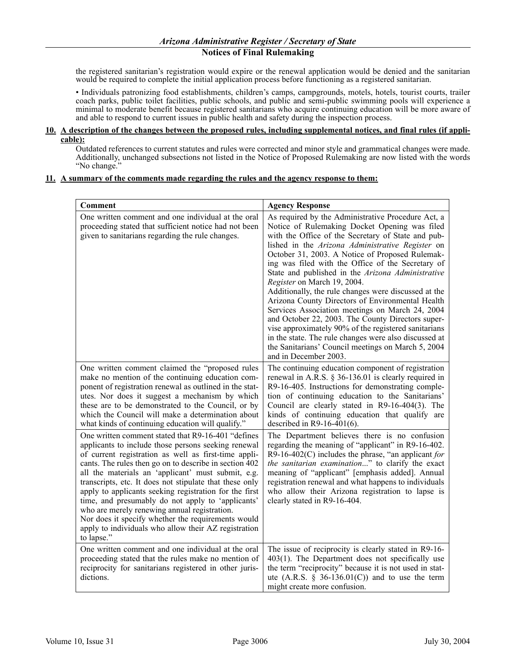the registered sanitarian's registration would expire or the renewal application would be denied and the sanitarian would be required to complete the initial application process before functioning as a registered sanitarian.

• Individuals patronizing food establishments, children's camps, campgrounds, motels, hotels, tourist courts, trailer coach parks, public toilet facilities, public schools, and public and semi-public swimming pools will experience a minimal to moderate benefit because registered sanitarians who acquire continuing education will be more aware of and able to respond to current issues in public health and safety during the inspection process.

#### **10. A description of the changes between the proposed rules, including supplemental notices, and final rules (if applicable):**

Outdated references to current statutes and rules were corrected and minor style and grammatical changes were made. Additionally, unchanged subsections not listed in the Notice of Proposed Rulemaking are now listed with the words "No change."

#### **11. A summary of the comments made regarding the rules and the agency response to them:**

| Comment                                                                                                                                                                                                                                                                                                                                                                                                                                                                                                                                                                                                                                 | <b>Agency Response</b>                                                                                                                                                                                                                                                                                                                                                                                                                                                                                                                                                                                                                                                                                                                                                                                                        |
|-----------------------------------------------------------------------------------------------------------------------------------------------------------------------------------------------------------------------------------------------------------------------------------------------------------------------------------------------------------------------------------------------------------------------------------------------------------------------------------------------------------------------------------------------------------------------------------------------------------------------------------------|-------------------------------------------------------------------------------------------------------------------------------------------------------------------------------------------------------------------------------------------------------------------------------------------------------------------------------------------------------------------------------------------------------------------------------------------------------------------------------------------------------------------------------------------------------------------------------------------------------------------------------------------------------------------------------------------------------------------------------------------------------------------------------------------------------------------------------|
| One written comment and one individual at the oral<br>proceeding stated that sufficient notice had not been<br>given to sanitarians regarding the rule changes.                                                                                                                                                                                                                                                                                                                                                                                                                                                                         | As required by the Administrative Procedure Act, a<br>Notice of Rulemaking Docket Opening was filed<br>with the Office of the Secretary of State and pub-<br>lished in the Arizona Administrative Register on<br>October 31, 2003. A Notice of Proposed Rulemak-<br>ing was filed with the Office of the Secretary of<br>State and published in the Arizona Administrative<br>Register on March 19, 2004.<br>Additionally, the rule changes were discussed at the<br>Arizona County Directors of Environmental Health<br>Services Association meetings on March 24, 2004<br>and October 22, 2003. The County Directors super-<br>vise approximately 90% of the registered sanitarians<br>in the state. The rule changes were also discussed at<br>the Sanitarians' Council meetings on March 5, 2004<br>and in December 2003. |
| One written comment claimed the "proposed rules<br>make no mention of the continuing education com-<br>ponent of registration renewal as outlined in the stat-<br>utes. Nor does it suggest a mechanism by which<br>these are to be demonstrated to the Council, or by<br>which the Council will make a determination about<br>what kinds of continuing education will qualify."                                                                                                                                                                                                                                                        | The continuing education component of registration<br>renewal in A.R.S. $\S$ 36-136.01 is clearly required in<br>R9-16-405. Instructions for demonstrating comple-<br>tion of continuing education to the Sanitarians'<br>Council are clearly stated in R9-16-404(3). The<br>kinds of continuing education that qualify are<br>described in $R9-16-401(6)$ .                                                                                                                                                                                                                                                                                                                                                                                                                                                                  |
| One written comment stated that R9-16-401 "defines<br>applicants to include those persons seeking renewal<br>of current registration as well as first-time appli-<br>cants. The rules then go on to describe in section 402<br>all the materials an 'applicant' must submit, e.g.<br>transcripts, etc. It does not stipulate that these only<br>apply to applicants seeking registration for the first<br>time, and presumably do not apply to 'applicants'<br>who are merely renewing annual registration.<br>Nor does it specify whether the requirements would<br>apply to individuals who allow their AZ registration<br>to lapse." | The Department believes there is no confusion<br>regarding the meaning of "applicant" in R9-16-402.<br>R9-16-402(C) includes the phrase, "an applicant for<br>the sanitarian examination" to clarify the exact<br>meaning of "applicant" [emphasis added]. Annual<br>registration renewal and what happens to individuals<br>who allow their Arizona registration to lapse is<br>clearly stated in R9-16-404.                                                                                                                                                                                                                                                                                                                                                                                                                 |
| One written comment and one individual at the oral<br>proceeding stated that the rules make no mention of<br>reciprocity for sanitarians registered in other juris-<br>dictions.                                                                                                                                                                                                                                                                                                                                                                                                                                                        | The issue of reciprocity is clearly stated in R9-16-<br>$403(1)$ . The Department does not specifically use<br>the term "reciprocity" because it is not used in stat-<br>ute (A.R.S. $\S$ 36-136.01(C)) and to use the term<br>might create more confusion.                                                                                                                                                                                                                                                                                                                                                                                                                                                                                                                                                                   |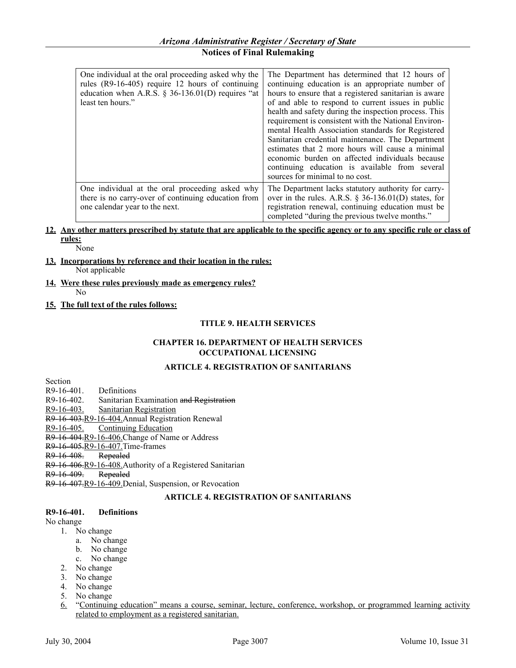| One individual at the oral proceeding asked why the<br>rules (R9-16-405) require 12 hours of continuing<br>education when A.R.S. $\S$ 36-136.01(D) requires "at<br>least ten hours." | The Department has determined that 12 hours of<br>continuing education is an appropriate number of<br>hours to ensure that a registered sanitarian is aware<br>of and able to respond to current issues in public<br>health and safety during the inspection process. This<br>requirement is consistent with the National Environ-<br>mental Health Association standards for Registered<br>Sanitarian credential maintenance. The Department<br>estimates that 2 more hours will cause a minimal<br>economic burden on affected individuals because<br>continuing education is available from several<br>sources for minimal to no cost. |
|--------------------------------------------------------------------------------------------------------------------------------------------------------------------------------------|-------------------------------------------------------------------------------------------------------------------------------------------------------------------------------------------------------------------------------------------------------------------------------------------------------------------------------------------------------------------------------------------------------------------------------------------------------------------------------------------------------------------------------------------------------------------------------------------------------------------------------------------|
| One individual at the oral proceeding asked why<br>there is no carry-over of continuing education from<br>one calendar year to the next.                                             | The Department lacks statutory authority for carry-<br>over in the rules. A.R.S. $\S$ 36-136.01(D) states, for<br>registration renewal, continuing education must be<br>completed "during the previous twelve months."                                                                                                                                                                                                                                                                                                                                                                                                                    |

#### **12. Any other matters prescribed by statute that are applicable to the specific agency or to any specific rule or class of rules:** None

**13. Incorporations by reference and their location in the rules:**

Not applicable

- **14. Were these rules previously made as emergency rules?** No
- **15. The full text of the rules follows:**

## **TITLE 9. HEALTH SERVICES**

## **CHAPTER 16. DEPARTMENT OF HEALTH SERVICES OCCUPATIONAL LICENSING**

## **ARTICLE 4. REGISTRATION OF SANITARIANS**

Section

R9-16-401. Definitions R9-16-402. Sanitarian Examination and Registration

R9-16-403. Sanitarian Registration

R9-16-403.R9-16-404.Annual Registration Renewal

R9-16-405. Continuing Education

R9-16-404.R9-16-406.Change of Name or Address

R9-16-405.R9-16-407.Time-frames

R9-16-408. Repealed

R9-16-406.R9-16-408.Authority of a Registered Sanitarian

R9-16-409. Repealed

R9-16-407.R9-16-409.Denial, Suspension, or Revocation

## **ARTICLE 4. REGISTRATION OF SANITARIANS**

## **R9-16-401. Definitions**

No change

- 1. No change
	- a. No change
	- b. No change
	- c. No change
- 2. No change
- 3. No change
- 4. No change
- 5. No change
- 6. "Continuing education" means a course, seminar, lecture, conference, workshop, or programmed learning activity related to employment as a registered sanitarian.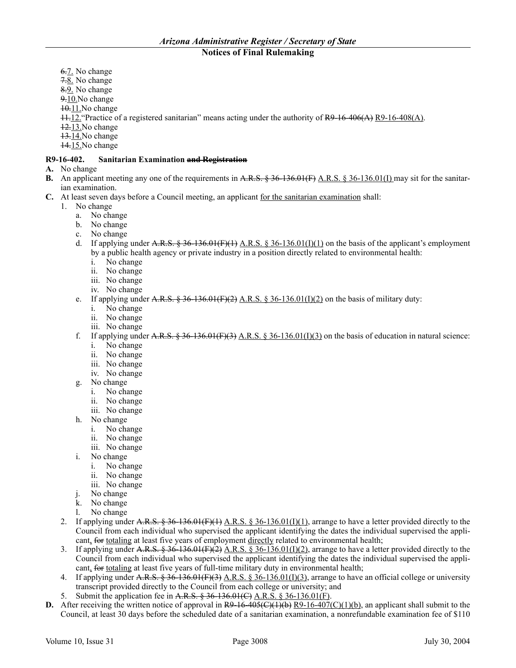- 6.7. No change
- 7.8. No change
- 8.9. No change
- 9.10.No change
- 10.11.No change
- 11.12."Practice of a registered sanitarian" means acting under the authority of R9-16-406(A) R9-16-408(A).
- 12.13.No change
- $13.14$ . No change
- 14.15.No change

## **R9-16-402. Sanitarian Examination and Registration**

- **A.** No change
- **B.** An applicant meeting any one of the requirements in A.R.S. § 36-136.01(F) A.R.S. § 36-136.01(I) may sit for the sanitarian examination.
- **C.** At least seven days before a Council meeting, an applicant for the sanitarian examination shall:
	- 1. No change
		- a. No change
		- b. No change
		- c. No change
		- d. If applying under A.R.S.  $\frac{2}{3}$  36-136.01(F)(1) A.R.S.  $\frac{2}{3}$  36-136.01(I)(1) on the basis of the applicant's employment by a public health agency or private industry in a position directly related to environmental health:
			- i. No change
			- ii. No change
			- iii. No change
			- iv. No change
		- e. If applying under A.R.S.  $\frac{256.01(F)(2)}{24.06}$  A.R.S.  $\frac{256.01(1)(2)}{20.06}$  on the basis of military duty:
			- i. No change
			- ii. No change
			- iii. No change
		- f. If applying under A.R.S.  $\frac{256}{136.01}$  (F)(3) A.R.S.  $\frac{256}{136.01}$ (I)(3) on the basis of education in natural science:
			- i. No change
			- ii. No change
			- iii. No change
			- iv. No change
		- g. No change
			- i. No change
			- ii. No change
			- iii. No change
		- h. No change
			- i. No change
			- ii. No change
			- iii. No change
		- i. No change
			- i. No change
			- ii. No change
			- iii. No change
		- j. No change
		- k. No change
		- l. No change
	- 2. If applying under A.R.S.  $\frac{2}{5}$  36-136.01(F)(1)  $\Delta$ .R.S.  $\frac{2}{5}$  36-136.01(I)(1), arrange to have a letter provided directly to the Council from each individual who supervised the applicant identifying the dates the individual supervised the applicant, for totaling at least five years of employment directly related to environmental health;
	- 3. If applying under A.R.S.  $\frac{8}{36}$  36-136.01(F)(2), arrange to have a letter provided directly to the Council from each individual who supervised the applicant identifying the dates the individual supervised the applicant, for totaling at least five years of full-time military duty in environmental health;
	- 4. If applying under A.R.S.  $\frac{25}{36}$  36-136.01(F)(3)  $\triangle$ .R.S. § 36-136.01(I)(3), arrange to have an official college or university transcript provided directly to the Council from each college or university; and
	- 5. Submit the application fee in A.R.S. § 36-136.01(C) A.R.S. § 36-136.01(F).
- **D.** After receiving the written notice of approval in  $R9-16-405$ ( $C$ )( $1)$ (b), an applicant shall submit to the Council, at least 30 days before the scheduled date of a sanitarian examination, a nonrefundable examination fee of \$110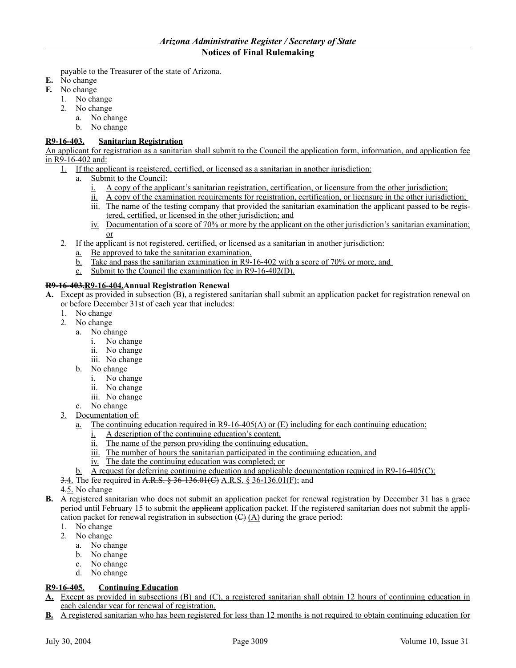payable to the Treasurer of the state of Arizona.

- **E.** No change
- **F.** No change
	- 1. No change
	- 2. No change
		- a. No change
		- b. No change

## **R9-16-403. Sanitarian Registration**

An applicant for registration as a sanitarian shall submit to the Council the application form, information, and application fee in R9-16-402 and:

- 1. If the applicant is registered, certified, or licensed as a sanitarian in another jurisdiction:
	- a. Submit to the Council:
		- i. A copy of the applicant's sanitarian registration, certification, or licensure from the other jurisdiction;
		- ii. A copy of the examination requirements for registration, certification, or licensure in the other jurisdiction;
		- iii. The name of the testing company that provided the sanitarian examination the applicant passed to be registered, certified, or licensed in the other jurisdiction; and
		- iv. Documentation of a score of 70% or more by the applicant on the other jurisdiction's sanitarian examination; or
- 2. If the applicant is not registered, certified, or licensed as a sanitarian in another jurisdiction:
	- a. Be approved to take the sanitarian examination,
	- b. Take and pass the sanitarian examination in R9-16-402 with a score of 70% or more, and
	- c. Submit to the Council the examination fee in R9-16-402(D).

#### **R9-16-403.R9-16-404.Annual Registration Renewal**

- **A.** Except as provided in subsection (B), a registered sanitarian shall submit an application packet for registration renewal on or before December 31st of each year that includes:
	- 1. No change
	- 2. No change
		- a. No change
			- i. No change
			- ii. No change
			- iii. No change
		- b. No change
			- i. No change
			- ii. No change
			- iii. No change
		- c. No change
	- 3. Documentation of:
		- a. The continuing education required in R9-16-405(A) or  $(E)$  including for each continuing education:
			- i. A description of the continuing education's content,
			- ii. The name of the person providing the continuing education,
			- iii. The number of hours the sanitarian participated in the continuing education, and
			- iv. The date the continuing education was completed; or
		- b. A request for deferring continuing education and applicable documentation required in R9-16-405(C);
	- 3.4. The fee required in A.R.S. § 36-136.01(C) A.R.S. § 36-136.01(F); and
	- 4.5. No change
- **B.** A registered sanitarian who does not submit an application packet for renewal registration by December 31 has a grace period until February 15 to submit the applicant application packet. If the registered sanitarian does not submit the application packet for renewal registration in subsection  $\left(\frac{C}{A}\right)$  during the grace period:
	- 1. No change
	- 2. No change
		- a. No change
		- b. No change
		- c. No change
		- d. No change

## **R9-16-405. Continuing Education**

- **A.** Except as provided in subsections (B) and (C), a registered sanitarian shall obtain 12 hours of continuing education in each calendar year for renewal of registration.
- **B.** A registered sanitarian who has been registered for less than 12 months is not required to obtain continuing education for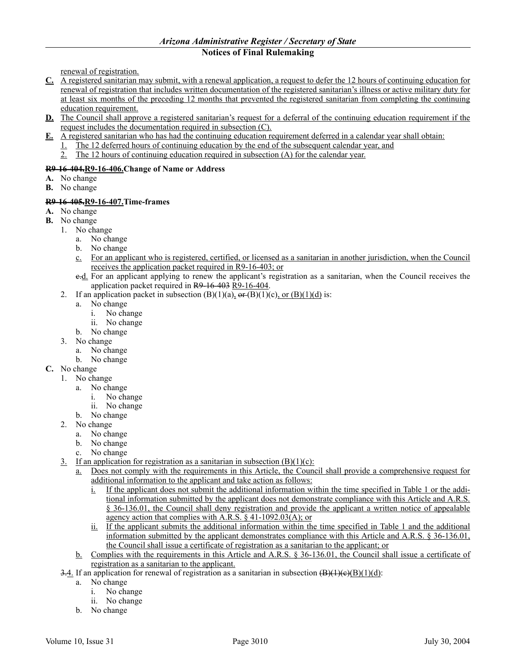renewal of registration.

- **C.** A registered sanitarian may submit, with a renewal application, a request to defer the 12 hours of continuing education for renewal of registration that includes written documentation of the registered sanitarian's illness or active military duty for at least six months of the preceding 12 months that prevented the registered sanitarian from completing the continuing education requirement.
- **D.** The Council shall approve a registered sanitarian's request for a deferral of the continuing education requirement if the request includes the documentation required in subsection (C).
- **E.** A registered sanitarian who has had the continuing education requirement deferred in a calendar year shall obtain:
	- 1. The 12 deferred hours of continuing education by the end of the subsequent calendar year, and
	- 2. The 12 hours of continuing education required in subsection (A) for the calendar year.

## **R9-16-404.R9-16-406.Change of Name or Address**

- **A.** No change
- **B.** No change

## **R9-16-405.R9-16-407.Time-frames**

- **A.** No change
- **B.** No change
	- 1. No change
		- a. No change
		- b. No change
		- c. For an applicant who is registered, certified, or licensed as a sanitarian in another jurisdiction, when the Council receives the application packet required in R9-16-403; or
		- c.d. For an applicant applying to renew the applicant's registration as a sanitarian, when the Council receives the application packet required in R9-16-403 R9-16-404.
	- 2. If an application packet in subsection  $(B)(1)(a)$ ,  $\Theta F(B)(1)(c)$ , or  $(B)(1)(d)$  is:
		- a. No change
			- i. No change
			- ii. No change
		- b. No change
	- 3. No change
		- a. No change
		- b. No change
- **C.** No change
	- 1. No change
		- a. No change
			- i. No change
			- ii. No change
		- b. No change
	- 2. No change
		- a. No change
		- b. No change
		- c. No change
	- 3. If an application for registration as a sanitarian in subsection  $(B)(1)(c)$ :
		- a. Does not comply with the requirements in this Article, the Council shall provide a comprehensive request for additional information to the applicant and take action as follows:
			- i. If the applicant does not submit the additional information within the time specified in Table 1 or the additional information submitted by the applicant does not demonstrate compliance with this Article and A.R.S. § 36-136.01, the Council shall deny registration and provide the applicant a written notice of appealable agency action that complies with A.R.S. § 41-1092.03(A); or
			- ii. If the applicant submits the additional information within the time specified in Table 1 and the additional information submitted by the applicant demonstrates compliance with this Article and A.R.S. § 36-136.01, the Council shall issue a certificate of registration as a sanitarian to the applicant; or
		- b. Complies with the requirements in this Article and A.R.S. § 36-136.01, the Council shall issue a certificate of registration as a sanitarian to the applicant.
	- 3.4. If an application for renewal of registration as a sanitarian in subsection  $(\frac{B}{(1)(c)(B)(1)}d$ :
		- a. No change
			- i. No change
			- ii. No change
		- b. No change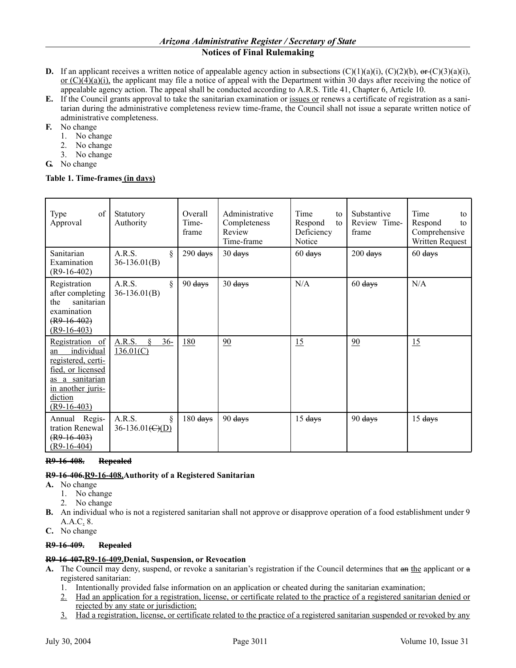- **D.** If an applicant receives a written notice of appealable agency action in subsections  $(C)(1)(a)(i)$ ,  $(C)(2)(b)$ ,  $\Theta$ **r** $(C)(3)(a)(i)$ , or  $(C)(4)(a)(i)$ , the applicant may file a notice of appeal with the Department within 30 days after receiving the notice of appealable agency action. The appeal shall be conducted according to A.R.S. Title 41, Chapter 6, Article 10.
- **E.** If the Council grants approval to take the sanitarian examination or issues or renews a certificate of registration as a sanitarian during the administrative completeness review time-frame, the Council shall not issue a separate written notice of administrative completeness.
- **F.** No change
	- 1. No change
	- 2. No change
	- 3. No change
- **G.** No change

#### **Table 1. Time-frames (in days)**

| of<br>Type<br>Approval                                                                                                                             | Statutory<br>Authority                                | Overall<br>Time-<br>frame            | Administrative<br>Completeness<br>Review<br>Time-frame | Time<br>to<br>Respond<br>to<br>Deficiency<br>Notice | Substantive<br>Review Time-<br>frame  | Time<br>to<br>Respond<br>to<br>Comprehensive<br>Written Request |
|----------------------------------------------------------------------------------------------------------------------------------------------------|-------------------------------------------------------|--------------------------------------|--------------------------------------------------------|-----------------------------------------------------|---------------------------------------|-----------------------------------------------------------------|
| Sanitarian<br>Examination<br>$(R9-16-402)$                                                                                                         | A.R.S.<br>ş<br>$36-136.01(B)$                         | $290$ days                           | 30 <sub>days</sub>                                     | $60$ days                                           | $200 \frac{\text{days}}{\text{days}}$ | $60$ days                                                       |
| Registration<br>after completing<br>sanitarian<br>the<br>examination<br>$(R9-16-402)$<br>$(R9-16-403)$                                             | A.R.S.<br>ş<br>$36-136.01(B)$                         | $90 \frac{\text{days}}{\text{days}}$ | 30 <sub>days</sub>                                     | N/A                                                 | $60$ days                             | N/A                                                             |
| Registration of<br>individual<br>an<br>registered, certi-<br>fied, or licensed<br>as a sanitarian<br>in another juris-<br>diction<br>$(R9-16-403)$ | A.R.S.<br>$36 -$<br>8<br>136.01(C)                    | 180                                  | 90                                                     | 15                                                  | 90                                    | 15                                                              |
| Annual Regis-<br>tration Renewal<br>$(R9-16-403)$<br>$(R9-16-404)$                                                                                 | A.R.S.<br>Ş<br>$36-136.01 \left( \frac{C}{D} \right)$ | $180$ days                           | 90 days                                                | 15 <sub>days</sub>                                  | $90$ days                             | 15 days                                                         |

#### **R9-16-408. Repealed**

## **R9-16-406.R9-16-408.Authority of a Registered Sanitarian**

- **A.** No change
	- 1. No change
	- 2. No change
- **B.** An individual who is not a registered sanitarian shall not approve or disapprove operation of a food establishment under 9 A.A.C. 8.
- **C.** No change

## **R9-16-409. Repealed**

## **R9-16-407.R9-16-409.Denial, Suspension, or Revocation**

- **A.** The Council may deny, suspend, or revoke a sanitarian's registration if the Council determines that an the applicant or a registered sanitarian:
	- 1. Intentionally provided false information on an application or cheated during the sanitarian examination;
	- 2. Had an application for a registration, license, or certificate related to the practice of a registered sanitarian denied or rejected by any state or jurisdiction;
	- 3. Had a registration, license, or certificate related to the practice of a registered sanitarian suspended or revoked by any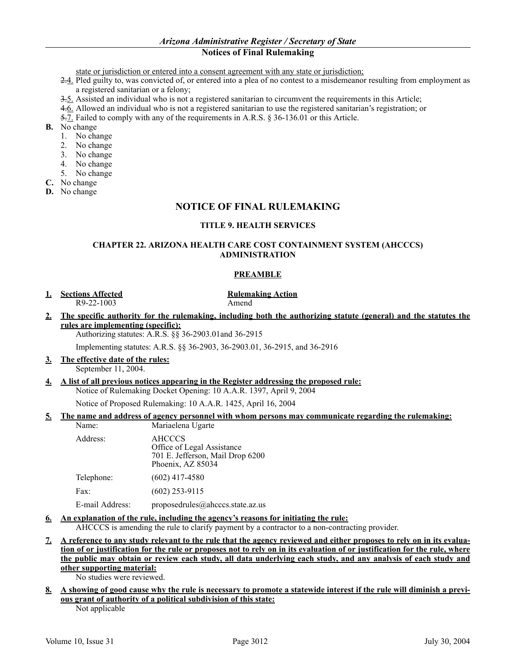state or jurisdiction or entered into a consent agreement with any state or jurisdiction;

- 2.4. Pled guilty to, was convicted of, or entered into a plea of no contest to a misdemeanor resulting from employment as a registered sanitarian or a felony;
- 3.5. Assisted an individual who is not a registered sanitarian to circumvent the requirements in this Article;
- 4.6. Allowed an individual who is not a registered sanitarian to use the registered sanitarian's registration; or
- 5.7. Failed to comply with any of the requirements in A.R.S. § 36-136.01 or this Article.
- **B.** No change
	- 1. No change
	- 2. No change
	- 3. No change
	- 4. No change
	- 5. No change
- **C.** No change
- **D.** No change

## **NOTICE OF FINAL RULEMAKING**

## **TITLE 9. HEALTH SERVICES**

## **CHAPTER 22. ARIZONA HEALTH CARE COST CONTAINMENT SYSTEM (AHCCCS) ADMINISTRATION**

#### **PREAMBLE**

**1. Sections Affected Rulemaking Action** R9-22-1003 Amend

**2. The specific authority for the rulemaking, including both the authorizing statute (general) and the statutes the rules are implementing (specific):**

Authorizing statutes: A.R.S. §§ 36-2903.01and 36-2915

Implementing statutes: A.R.S. §§ 36-2903, 36-2903.01, 36-2915, and 36-2916

- **3. The effective date of the rules:** September 11, 2004.
- **4. A list of all previous notices appearing in the Register addressing the proposed rule:** Notice of Rulemaking Docket Opening: 10 A.A.R. 1397, April 9, 2004 Notice of Proposed Rulemaking: 10 A.A.R. 1425, April 16, 2004

## **5. The name and address of agency personnel with whom persons may communicate regarding the rulemaking:**

| Name:           | Mariaelena Ugarte                                                                                    |
|-----------------|------------------------------------------------------------------------------------------------------|
| Address:        | <b>AHCCCS</b><br>Office of Legal Assistance<br>701 E. Jefferson, Mail Drop 6200<br>Phoenix, AZ 85034 |
| Telephone:      | $(602)$ 417-4580                                                                                     |
| Fax:            | $(602)$ 253-9115                                                                                     |
| E-mail Address: | proposedrules@ahcccs.state.az.us                                                                     |

## **6. An explanation of the rule, including the agency's reasons for initiating the rule:**

AHCCCS is amending the rule to clarify payment by a contractor to a non-contracting provider.

**7. A reference to any study relevant to the rule that the agency reviewed and either proposes to rely on in its evaluation of or justification for the rule or proposes not to rely on in its evaluation of or justification for the rule, where the public may obtain or review each study, all data underlying each study, and any analysis of each study and other supporting material:**

No studies were reviewed.

**8. A showing of good cause why the rule is necessary to promote a statewide interest if the rule will diminish a previous grant of authority of a political subdivision of this state:**

Not applicable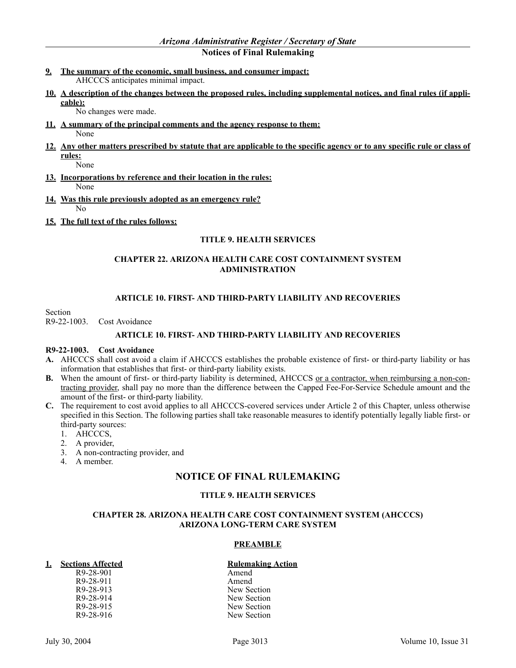- **9. The summary of the economic, small business, and consumer impact:** AHCCCS anticipates minimal impact.
- **10. A description of the changes between the proposed rules, including supplemental notices, and final rules (if applicable):**

No changes were made.

- **11. A summary of the principal comments and the agency response to them:** None
- **12. Any other matters prescribed by statute that are applicable to the specific agency or to any specific rule or class of rules:**

None

- **13. Incorporations by reference and their location in the rules:** None
- **14. Was this rule previously adopted as an emergency rule?** No
- **15. The full text of the rules follows:**

## **TITLE 9. HEALTH SERVICES**

## **CHAPTER 22. ARIZONA HEALTH CARE COST CONTAINMENT SYSTEM ADMINISTRATION**

## **ARTICLE 10. FIRST- AND THIRD-PARTY LIABILITY AND RECOVERIES**

Section

R9-22-1003. Cost Avoidance

## **ARTICLE 10. FIRST- AND THIRD-PARTY LIABILITY AND RECOVERIES**

## **R9-22-1003. Cost Avoidance**

- **A.** AHCCCS shall cost avoid a claim if AHCCCS establishes the probable existence of first- or third-party liability or has information that establishes that first- or third-party liability exists.
- **B.** When the amount of first- or third-party liability is determined, AHCCCS or a contractor, when reimbursing a non-contracting provider, shall pay no more than the difference between the Capped Fee-For-Service Schedule amount and the amount of the first- or third-party liability.
- **C.** The requirement to cost avoid applies to all AHCCCS-covered services under Article 2 of this Chapter, unless otherwise specified in this Section. The following parties shall take reasonable measures to identify potentially legally liable first- or third-party sources:
	- 1. AHCCCS,
	- 2. A provider,
	- 3. A non-contracting provider, and
	- 4. A member.

## **NOTICE OF FINAL RULEMAKING**

## **TITLE 9. HEALTH SERVICES**

## **CHAPTER 28. ARIZONA HEALTH CARE COST CONTAINMENT SYSTEM (AHCCCS) ARIZONA LONG-TERM CARE SYSTEM**

## **PREAMBLE**

## **1. Sections Affected Rulemaking Action**

R9-28-901 Amend R9-28-911 Amend<br>R9-28-913 New Se

R9-28-913<br>R9-28-914 New Section<br>New Section R9-28-914<br>R9-28-915 New Section<br>New Section R9-28-915<br>R9-28-916 New Section<br>New Section New Section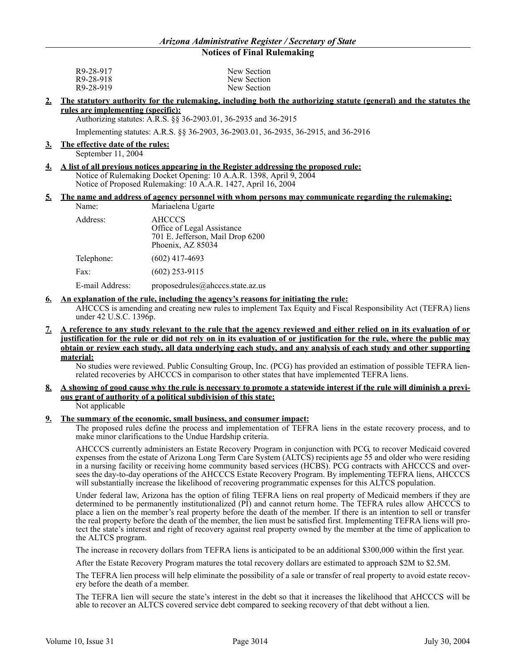| R9-28-917 | New Section |
|-----------|-------------|
| R9-28-918 | New Section |
| R9-28-919 | New Section |

#### **2. The statutory authority for the rulemaking, including both the authorizing statute (general) and the statutes the rules are implementing (specific):**

Authorizing statutes: A.R.S. §§ 36-2903.01, 36-2935 and 36-2915

Implementing statutes: A.R.S. §§ 36-2903, 36-2903.01, 36-2935, 36-2915, and 36-2916

#### **3. The effective date of the rules:**

September 11, 2004

**4. A list of all previous notices appearing in the Register addressing the proposed rule:** Notice of Rulemaking Docket Opening: 10 A.A.R. 1398, April 9, 2004 Notice of Proposed Rulemaking: 10 A.A.R. 1427, April 16, 2004

#### **5. The name and address of agency personnel with whom persons may communicate regarding the rulemaking:** Name: Mariaelena Ugarte

| Address:        | AHCCCS<br>Office of Legal Assistance<br>701 E. Jefferson, Mail Drop 6200<br>Phoenix, AZ 85034 |
|-----------------|-----------------------------------------------------------------------------------------------|
| Telephone:      | $(602)$ 417-4693                                                                              |
| Fax:            | $(602)$ 253-9115                                                                              |
| E-mail Address: | proposedrules@ahcccs.state.az.us                                                              |

#### **6. An explanation of the rule, including the agency's reasons for initiating the rule:**

AHCCCS is amending and creating new rules to implement Tax Equity and Fiscal Responsibility Act (TEFRA) liens under 42 U.S.C. 1396p.

#### **7. A reference to any study relevant to the rule that the agency reviewed and either relied on in its evaluation of or justification for the rule or did not rely on in its evaluation of or justification for the rule, where the public may obtain or review each study, all data underlying each study, and any analysis of each study and other supporting material:**

No studies were reviewed. Public Consulting Group, Inc. (PCG) has provided an estimation of possible TEFRA lienrelated recoveries by AHCCCS in comparison to other states that have implemented TEFRA liens.

#### **8. A showing of good cause why the rule is necessary to promote a statewide interest if the rule will diminish a previous grant of authority of a political subdivision of this state:** Not applicable

## **9. The summary of the economic, small business, and consumer impact:**

The proposed rules define the process and implementation of TEFRA liens in the estate recovery process, and to make minor clarifications to the Undue Hardship criteria.

AHCCCS currently administers an Estate Recovery Program in conjunction with PCG, to recover Medicaid covered expenses from the estate of Arizona Long Term Care System (ALTCS) recipients age 55 and older who were residing in a nursing facility or receiving home community based services (HCBS). PCG contracts with AHCCCS and oversees the day-to-day operations of the AHCCCS Estate Recovery Program. By implementing TEFRA liens, AHCCCS will substantially increase the likelihood of recovering programmatic expenses for this ALTCS population.

Under federal law, Arizona has the option of filing TEFRA liens on real property of Medicaid members if they are determined to be permanently institutionalized (PI) and cannot return home. The TEFRA rules allow AHCCCS to place a lien on the member's real property before the death of the member. If there is an intention to sell or transfer the real property before the death of the member, the lien must be satisfied first. Implementing TEFRA liens will protect the state's interest and right of recovery against real property owned by the member at the time of application to the ALTCS program.

The increase in recovery dollars from TEFRA liens is anticipated to be an additional \$300,000 within the first year.

After the Estate Recovery Program matures the total recovery dollars are estimated to approach \$2M to \$2.5M.

The TEFRA lien process will help eliminate the possibility of a sale or transfer of real property to avoid estate recovery before the death of a member.

The TEFRA lien will secure the state's interest in the debt so that it increases the likelihood that AHCCCS will be able to recover an ALTCS covered service debt compared to seeking recovery of that debt without a lien.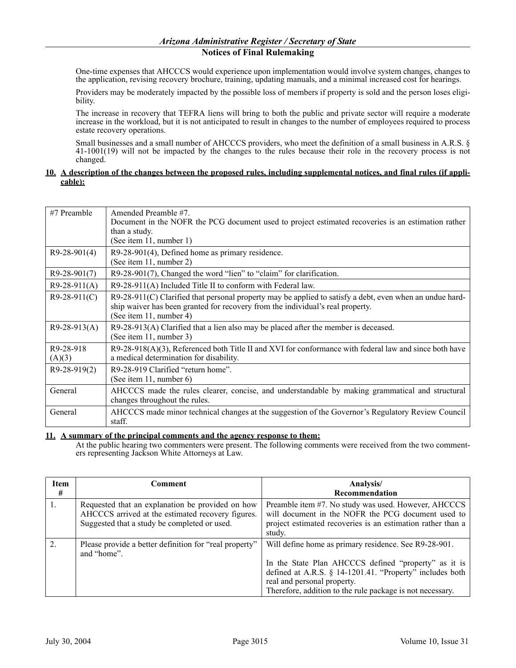One-time expenses that AHCCCS would experience upon implementation would involve system changes, changes to the application, revising recovery brochure, training, updating manuals, and a minimal increased cost for hearings.

Providers may be moderately impacted by the possible loss of members if property is sold and the person loses eligibility.

The increase in recovery that TEFRA liens will bring to both the public and private sector will require a moderate increase in the workload, but it is not anticipated to result in changes to the number of employees required to process estate recovery operations.

Small businesses and a small number of AHCCCS providers, who meet the definition of a small business in A.R.S. § 41-1001(19) will not be impacted by the changes to the rules because their role in the recovery process is not changed.

#### **10. A description of the changes between the proposed rules, including supplemental notices, and final rules (if applicable):**

| #7 Preamble         | Amended Preamble #7.<br>Document in the NOFR the PCG document used to project estimated recoveries is an estimation rather<br>than a study.<br>(See item 11, number 1)                                                  |
|---------------------|-------------------------------------------------------------------------------------------------------------------------------------------------------------------------------------------------------------------------|
| $R9-28-901(4)$      | R9-28-901(4), Defined home as primary residence.<br>(See item 11, number 2)                                                                                                                                             |
| $R9-28-901(7)$      | R9-28-901(7), Changed the word "lien" to "claim" for clarification.                                                                                                                                                     |
| $R9-28-911(A)$      | R9-28-911(A) Included Title II to conform with Federal law.                                                                                                                                                             |
| $R9-28-911(C)$      | $R9-28-911(C)$ Clarified that personal property may be applied to satisfy a debt, even when an undue hard-<br>ship waiver has been granted for recovery from the individual's real property.<br>(See item 11, number 4) |
| $R9-28-913(A)$      | $R9-28-913(A)$ Clarified that a lien also may be placed after the member is deceased.<br>(See item 11, number 3)                                                                                                        |
| R9-28-918<br>(A)(3) | $R9-28-918(A)(3)$ , Referenced both Title II and XVI for conformance with federal law and since both have<br>a medical determination for disability.                                                                    |
| $R9-28-919(2)$      | R9-28-919 Clarified "return home".<br>(See item 11, number 6)                                                                                                                                                           |
| General             | AHCCCS made the rules clearer, concise, and understandable by making grammatical and structural<br>changes throughout the rules.                                                                                        |
| General             | AHCCCS made minor technical changes at the suggestion of the Governor's Regulatory Review Council<br>staff.                                                                                                             |

#### **11. A summary of the principal comments and the agency response to them:**

At the public hearing two commenters were present. The following comments were received from the two commenters representing Jackson White Attorneys at Law.

| <b>Item</b><br># | Comment                                                                                                                                               | Analysis/<br>Recommendation                                                                                                                                                                                                                                           |
|------------------|-------------------------------------------------------------------------------------------------------------------------------------------------------|-----------------------------------------------------------------------------------------------------------------------------------------------------------------------------------------------------------------------------------------------------------------------|
|                  | Requested that an explanation be provided on how<br>AHCCCS arrived at the estimated recovery figures.<br>Suggested that a study be completed or used. | Preamble item #7. No study was used. However, AHCCCS<br>will document in the NOFR the PCG document used to<br>project estimated recoveries is an estimation rather than a<br>study.                                                                                   |
| $\overline{2}$ . | Please provide a better definition for "real property"<br>and "home".                                                                                 | Will define home as primary residence. See R9-28-901.<br>In the State Plan AHCCCS defined "property" as it is<br>defined at A.R.S. § 14-1201.41. "Property" includes both<br>real and personal property.<br>Therefore, addition to the rule package is not necessary. |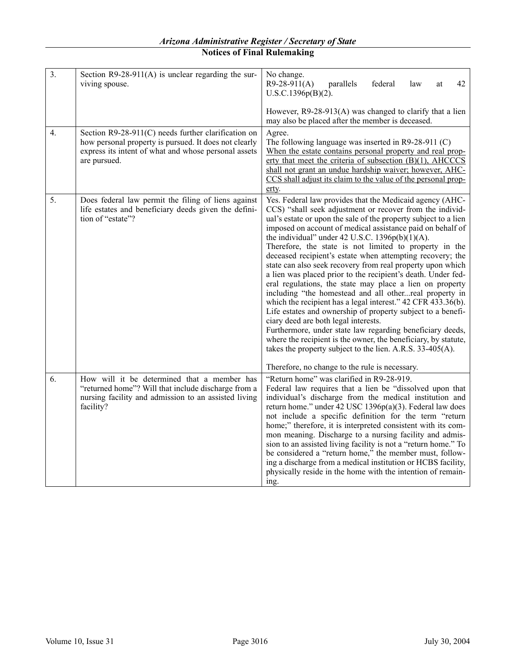| $\overline{3}$ . | Section $R9-28-911(A)$ is unclear regarding the sur-<br>viving spouse.                                                                                                               | No change.<br>$R9-28-911(A)$<br>parallels<br>federal<br>law<br>42<br>at<br>$U.S.C.1396p(B)(2)$ .                                                                                                                                                                                                                                                                                                                                                                                                                                                                                                                                                                                                                                                                                                                                                                                                                                                                                                                                                                                                             |
|------------------|--------------------------------------------------------------------------------------------------------------------------------------------------------------------------------------|--------------------------------------------------------------------------------------------------------------------------------------------------------------------------------------------------------------------------------------------------------------------------------------------------------------------------------------------------------------------------------------------------------------------------------------------------------------------------------------------------------------------------------------------------------------------------------------------------------------------------------------------------------------------------------------------------------------------------------------------------------------------------------------------------------------------------------------------------------------------------------------------------------------------------------------------------------------------------------------------------------------------------------------------------------------------------------------------------------------|
|                  |                                                                                                                                                                                      | However, $R9-28-913(A)$ was changed to clarify that a lien<br>may also be placed after the member is deceased.                                                                                                                                                                                                                                                                                                                                                                                                                                                                                                                                                                                                                                                                                                                                                                                                                                                                                                                                                                                               |
| $\overline{4}$ . | Section R9-28-911(C) needs further clarification on<br>how personal property is pursued. It does not clearly<br>express its intent of what and whose personal assets<br>are pursued. | Agree.<br>The following language was inserted in $R9-28-911$ (C)<br>When the estate contains personal property and real prop-<br>erty that meet the criteria of subsection (B)(1), AHCCCS<br>shall not grant an undue hardship waiver; however, AHC-<br>CCS shall adjust its claim to the value of the personal prop-<br>erty.                                                                                                                                                                                                                                                                                                                                                                                                                                                                                                                                                                                                                                                                                                                                                                               |
| 5.               | Does federal law permit the filing of liens against<br>life estates and beneficiary deeds given the defini-<br>tion of "estate"?                                                     | Yes. Federal law provides that the Medicaid agency (AHC-<br>CCS) "shall seek adjustment or recover from the individ-<br>ual's estate or upon the sale of the property subject to a lien<br>imposed on account of medical assistance paid on behalf of<br>the individual" under 42 U.S.C. 1396 $p(b)(1)(A)$ .<br>Therefore, the state is not limited to property in the<br>deceased recipient's estate when attempting recovery; the<br>state can also seek recovery from real property upon which<br>a lien was placed prior to the recipient's death. Under fed-<br>eral regulations, the state may place a lien on property<br>including "the homestead and all otherreal property in<br>which the recipient has a legal interest." 42 CFR 433.36(b).<br>Life estates and ownership of property subject to a benefi-<br>ciary deed are both legal interests.<br>Furthermore, under state law regarding beneficiary deeds,<br>where the recipient is the owner, the beneficiary, by statute,<br>takes the property subject to the lien. A.R.S. 33-405(A).<br>Therefore, no change to the rule is necessary. |
| 6.               | How will it be determined that a member has<br>"returned home"? Will that include discharge from a<br>nursing facility and admission to an assisted living<br>facility?              | "Return home" was clarified in R9-28-919.<br>Federal law requires that a lien be "dissolved upon that<br>individual's discharge from the medical institution and<br>return home." under 42 USC 1396p(a)(3). Federal law does<br>not include a specific definition for the term "return<br>home;" therefore, it is interpreted consistent with its com-<br>mon meaning. Discharge to a nursing facility and admis-<br>sion to an assisted living facility is not a "return home." To<br>be considered a "return home," the member must, follow-<br>ing a discharge from a medical institution or HCBS facility,<br>physically reside in the home with the intention of remain-<br>ing.                                                                                                                                                                                                                                                                                                                                                                                                                        |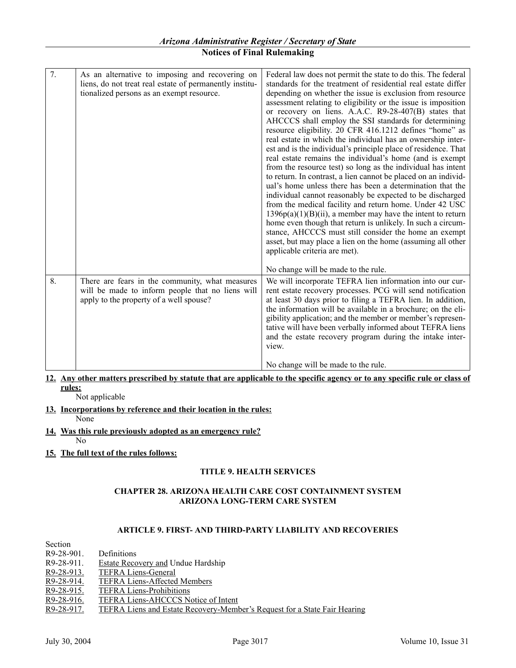| 7. | As an alternative to imposing and recovering on<br>liens, do not treat real estate of permanently institu-<br>tionalized persons as an exempt resource. | Federal law does not permit the state to do this. The federal<br>standards for the treatment of residential real estate differ<br>depending on whether the issue is exclusion from resource<br>assessment relating to eligibility or the issue is imposition<br>or recovery on liens. A.A.C. R9-28-407(B) states that<br>AHCCCS shall employ the SSI standards for determining<br>resource eligibility. 20 CFR 416.1212 defines "home" as<br>real estate in which the individual has an ownership inter-<br>est and is the individual's principle place of residence. That<br>real estate remains the individual's home (and is exempt<br>from the resource test) so long as the individual has intent<br>to return. In contrast, a lien cannot be placed on an individ-<br>ual's home unless there has been a determination that the<br>individual cannot reasonably be expected to be discharged<br>from the medical facility and return home. Under 42 USC<br>$1396p(a)(1)(B)(ii)$ , a member may have the intent to return<br>home even though that return is unlikely. In such a circum-<br>stance, AHCCCS must still consider the home an exempt<br>asset, but may place a lien on the home (assuming all other<br>applicable criteria are met). |
|----|---------------------------------------------------------------------------------------------------------------------------------------------------------|--------------------------------------------------------------------------------------------------------------------------------------------------------------------------------------------------------------------------------------------------------------------------------------------------------------------------------------------------------------------------------------------------------------------------------------------------------------------------------------------------------------------------------------------------------------------------------------------------------------------------------------------------------------------------------------------------------------------------------------------------------------------------------------------------------------------------------------------------------------------------------------------------------------------------------------------------------------------------------------------------------------------------------------------------------------------------------------------------------------------------------------------------------------------------------------------------------------------------------------------------------|
|    |                                                                                                                                                         | No change will be made to the rule.                                                                                                                                                                                                                                                                                                                                                                                                                                                                                                                                                                                                                                                                                                                                                                                                                                                                                                                                                                                                                                                                                                                                                                                                                    |
| 8. | There are fears in the community, what measures<br>will be made to inform people that no liens will<br>apply to the property of a well spouse?          | We will incorporate TEFRA lien information into our cur-<br>rent estate recovery processes. PCG will send notification<br>at least 30 days prior to filing a TEFRA lien. In addition,<br>the information will be available in a brochure; on the eli-<br>gibility application; and the member or member's represen-<br>tative will have been verbally informed about TEFRA liens<br>and the estate recovery program during the intake inter-<br>view.                                                                                                                                                                                                                                                                                                                                                                                                                                                                                                                                                                                                                                                                                                                                                                                                  |
|    |                                                                                                                                                         | No change will be made to the rule.                                                                                                                                                                                                                                                                                                                                                                                                                                                                                                                                                                                                                                                                                                                                                                                                                                                                                                                                                                                                                                                                                                                                                                                                                    |

## **12. Any other matters prescribed by statute that are applicable to the specific agency or to any specific rule or class of rules:**

Not applicable

- **13. Incorporations by reference and their location in the rules:** None
- **14. Was this rule previously adopted as an emergency rule?**
	- No
- **15. The full text of the rules follows:**

# **TITLE 9. HEALTH SERVICES**

## **CHAPTER 28. ARIZONA HEALTH CARE COST CONTAINMENT SYSTEM ARIZONA LONG-TERM CARE SYSTEM**

# **ARTICLE 9. FIRST- AND THIRD-PARTY LIABILITY AND RECOVERIES**

| Section      |                                                                           |
|--------------|---------------------------------------------------------------------------|
| R9-28-901.   | <b>Definitions</b>                                                        |
| R9-28-911.   | <b>Estate Recovery and Undue Hardship</b>                                 |
| R9-28-913.   | <b>TEFRA Liens-General</b>                                                |
| R9-28-914.   | <b>TEFRA Liens-Affected Members</b>                                       |
| R9-28-915.   | <b>TEFRA Liens-Prohibitions</b>                                           |
| $R9-28-916.$ | TEFRA Liens-AHCCCS Notice of Intent                                       |
| R9-28-917.   | TEFRA Liens and Estate Recovery-Member's Request for a State Fair Hearing |
|              |                                                                           |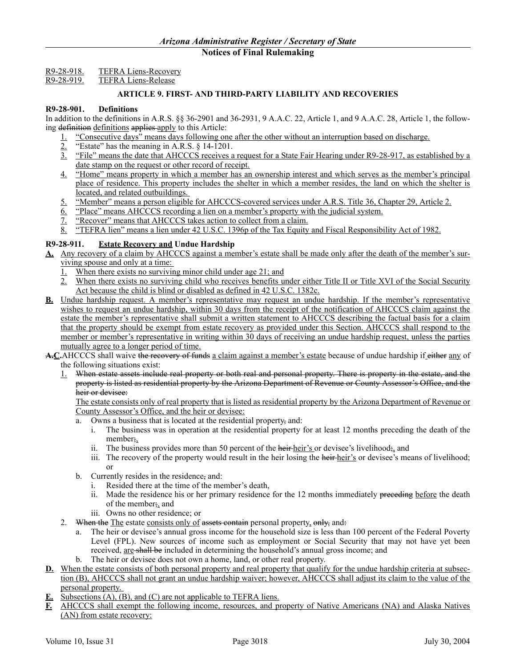R9-28-918. TEFRA Liens-Recovery

# R9-28-919. TEFRA Liens-Release

## **ARTICLE 9. FIRST- AND THIRD-PARTY LIABILITY AND RECOVERIES**

#### **R9-28-901. Definitions**

In addition to the definitions in A.R.S. §§ 36-2901 and 36-2931, 9 A.A.C. 22, Article 1, and 9 A.A.C. 28, Article 1, the following definition definitions applies apply to this Article:

- 1. "Consecutive days" means days following one after the other without an interruption based on discharge.
- $\frac{2}{3}$ . "Estate" has the meaning in A.R.S. § 14-1201.<br>3. "File" means the date that AHCCCS receives a
- "File" means the date that AHCCCS receives a request for a State Fair Hearing under R9-28-917, as established by a date stamp on the request or other record of receipt.
- 4. "Home" means property in which a member has an ownership interest and which serves as the member's principal place of residence. This property includes the shelter in which a member resides, the land on which the shelter is located, and related outbuildings.
- 5. "Member" means a person eligible for AHCCCS-covered services under A.R.S. Title 36, Chapter 29, Article 2.
- 6. "Place" means AHCCCS recording a lien on a member's property with the judicial system.
- 7. "Recover" means that AHCCCS takes action to collect from a claim.
- 8. "TEFRA lien" means a lien under 42 U.S.C. 1396p of the Tax Equity and Fiscal Responsibility Act of 1982.

## **R9-28-911. Estate Recovery and Undue Hardship**

- **A.** Any recovery of a claim by AHCCCS against a member's estate shall be made only after the death of the member's surviving spouse and only at a time:
	- 1. When there exists no surviving minor child under age 21; and
	- 2. When there exists no surviving child who receives benefits under either Title II or Title XVI of the Social Security Act because the child is blind or disabled as defined in 42 U.S.C. 1382c.
- **B.** Undue hardship request. A member's representative may request an undue hardship. If the member's representative wishes to request an undue hardship, within 30 days from the receipt of the notification of AHCCCS claim against the estate the member's representative shall submit a written statement to AHCCCS describing the factual basis for a claim that the property should be exempt from estate recovery as provided under this Section. AHCCCS shall respond to the member or member's representative in writing within 30 days of receiving an undue hardship request, unless the parties mutually agree to a longer period of time.
- A.C.AHCCCS shall waive the recovery of funds a claim against a member's estate because of undue hardship if either any of the following situations exist:
	- 1. When estate assets include real property or both real and personal property. There is property in the estate, and the property is listed as residential property by the Arizona Department of Revenue or County Assessor's Office, and the heir or devisee:

The estate consists only of real property that is listed as residential property by the Arizona Department of Revenue or County Assessor's Office, and the heir or devisee:

- a. Owns a business that is located at the residential property, and:
	- i. The business was in operation at the residential property for at least 12 months preceding the death of the member;,
	- ii. The business provides more than 50 percent of the heir-heir's or devisee's livelihood; and
	- iii. The recovery of the property would result in the heir losing the heir-heir's or devisee's means of livelihood; or
- b. Currently resides in the residence, and:
	- i. Resided there at the time of the member's death,
	- ii. Made the residence his or her primary residence for the 12 months immediately preceding before the death of the member;, and
	- iii. Owns no other residence; or
- 2. When the The estate consists only of assets contain personal property, only, and:
	- The heir or devisee's annual gross income for the household size is less than 100 percent of the Federal Poverty Level (FPL). New sources of income such as employment or Social Security that may not have yet been received, are shall be included in determining the household's annual gross income; and
	- b. The heir or devisee does not own a home, land, or other real property.
- **D.** When the estate consists of both personal property and real property that qualify for the undue hardship criteria at subsection (B), AHCCCS shall not grant an undue hardship waiver; however, AHCCCS shall adjust its claim to the value of the personal property.
- **E.** Subsections (A), (B), and (C) are not applicable to TEFRA liens.
- **F.** AHCCCS shall exempt the following income, resources, and property of Native Americans (NA) and Alaska Natives (AN) from estate recovery: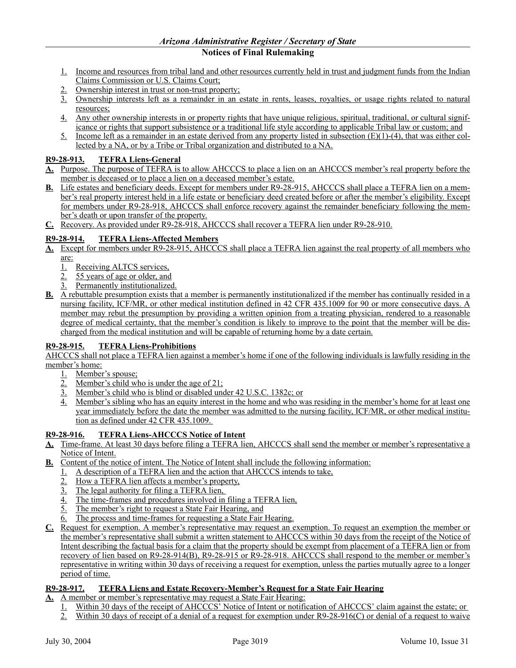- **Notices of Final Rulemaking**
- 1. Income and resources from tribal land and other resources currently held in trust and judgment funds from the Indian Claims Commission or U.S. Claims Court;
- 2. Ownership interest in trust or non-trust property;
- 3. Ownership interests left as a remainder in an estate in rents, leases, royalties, or usage rights related to natural resources;
- 4. Any other ownership interests in or property rights that have unique religious, spiritual, traditional, or cultural significance or rights that support subsistence or a traditional life style according to applicable Tribal law or custom; and
- 5. Income left as a remainder in an estate derived from any property listed in subsection  $(E)(1)-(4)$ , that was either collected by a NA, or by a Tribe or Tribal organization and distributed to a NA.

## **R9-28-913. TEFRA Liens-General**

- **A.** Purpose. The purpose of TEFRA is to allow AHCCCS to place a lien on an AHCCCS member's real property before the member is deceased or to place a lien on a deceased member's estate.
- **B.** Life estates and beneficiary deeds. Except for members under R9-28-915, AHCCCS shall place a TEFRA lien on a member's real property interest held in a life estate or beneficiary deed created before or after the member's eligibility. Except for members under R9-28-918, AHCCCS shall enforce recovery against the remainder beneficiary following the member's death or upon transfer of the property.
- **C.** Recovery. As provided under R9-28-918, AHCCCS shall recover a TEFRA lien under R9-28-910.

## **R9-28-914. TEFRA Liens-Affected Members**

- **A.** Except for members under R9-28-915, AHCCCS shall place a TEFRA lien against the real property of all members who are:
	- 1. Receiving ALTCS services,
	- 2. 55 years of age or older, and
	- 3. Permanently institutionalized.
- **B.** A rebuttable presumption exists that a member is permanently institutionalized if the member has continually resided in a nursing facility, ICF/MR, or other medical institution defined in 42 CFR 435.1009 for 90 or more consecutive days. A member may rebut the presumption by providing a written opinion from a treating physician, rendered to a reasonable degree of medical certainty, that the member's condition is likely to improve to the point that the member will be discharged from the medical institution and will be capable of returning home by a date certain.

## **R9-28-915. TEFRA Liens-Prohibitions**

AHCCCS shall not place a TEFRA lien against a member's home if one of the following individuals is lawfully residing in the member's home:

1. Member's spouse;

- 2. Member's child who is under the age of 21;
- 3. Member's child who is blind or disabled under 42 U.S.C. 1382c; or
- 4. Member's sibling who has an equity interest in the home and who was residing in the member's home for at least one year immediately before the date the member was admitted to the nursing facility, ICF/MR, or other medical institution as defined under 42 CFR 435.1009.

## **R9-28-916. TEFRA Liens-AHCCCS Notice of Intent**

- **A.** Time-frame. At least 30 days before filing a TEFRA lien, AHCCCS shall send the member or member's representative a Notice of Intent.
- **B.** Content of the notice of intent. The Notice of Intent shall include the following information:
	- 1. A description of a TEFRA lien and the action that AHCCCS intends to take,
	- 2. How a TEFRA lien affects a member's property,
	- 3. The legal authority for filing a TEFRA lien,
	- 4. The time-frames and procedures involved in filing a TEFRA lien,
	- 5. The member's right to request a State Fair Hearing, and
	- The process and time-frames for requesting a State Fair Hearing.
- **C.** Request for exemption. A member's representative may request an exemption. To request an exemption the member or the member's representative shall submit a written statement to AHCCCS within 30 days from the receipt of the Notice of Intent describing the factual basis for a claim that the property should be exempt from placement of a TEFRA lien or from recovery of lien based on R9-28-914(B), R9-28-915 or R9-28-918. AHCCCS shall respond to the member or member's representative in writing within 30 days of receiving a request for exemption, unless the parties mutually agree to a longer period of time.

## **R9-28-917. TEFRA Liens and Estate Recovery-Member's Request for a State Fair Hearing**

- **A.** A member or member's representative may request a State Fair Hearing:
	- 1. Within 30 days of the receipt of AHCCCS' Notice of Intent or notification of AHCCCS' claim against the estate; or
	- 2. Within 30 days of receipt of a denial of a request for exemption under R9-28-916(C) or denial of a request to waive